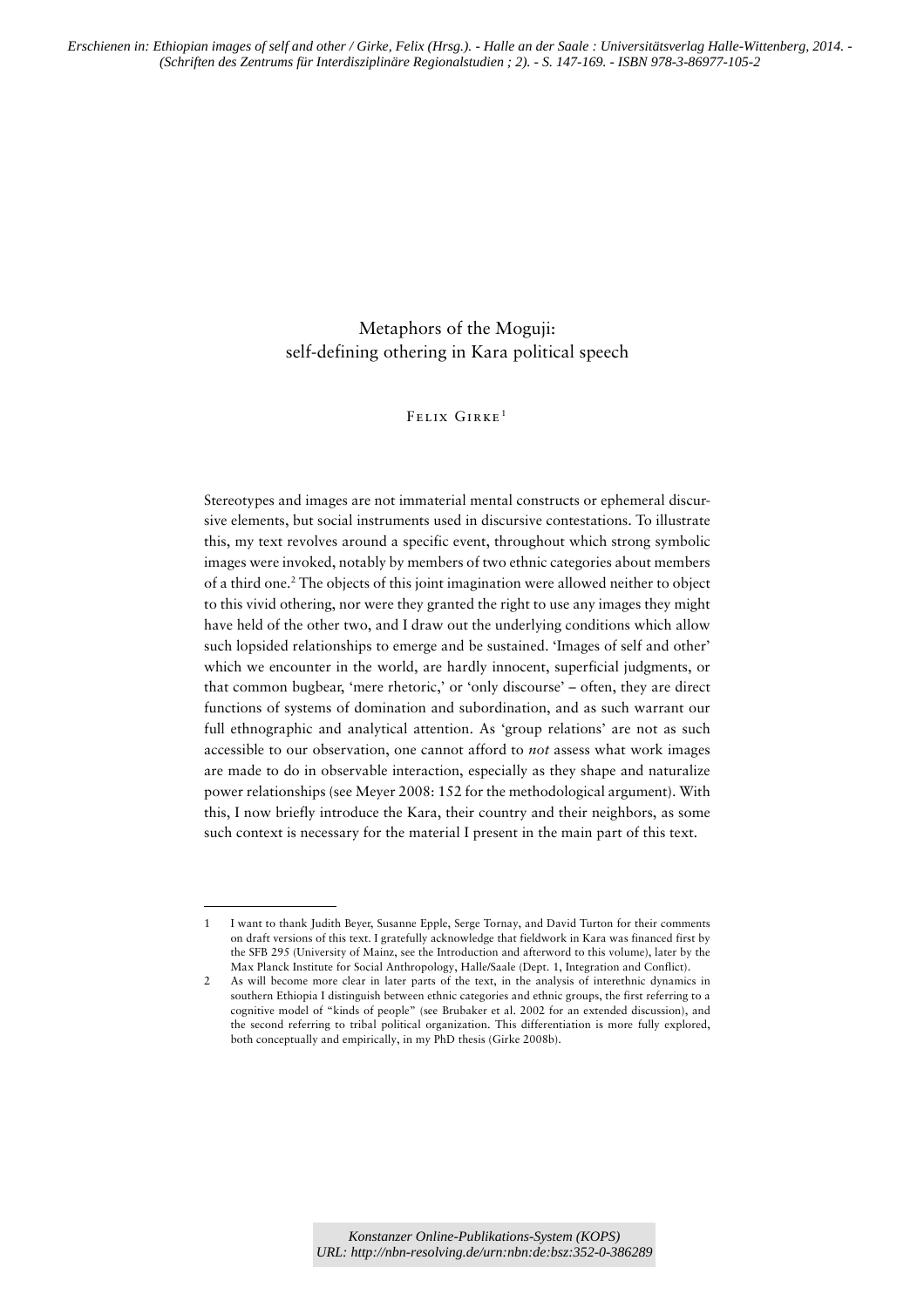# Metaphors of the Moguji: self-defining othering in Kara political speech

### Felix Girke 1

Stereotypes and images are not immaterial mental constructs or ephemeral discursive elements, but social instruments used in discursive contestations. To illustrate this, my text revolves around a specific event, throughout which strong symbolic images were invoked, notably by members of two ethnic categories about members of a third one.<sup>2</sup> The objects of this joint imagination were allowed neither to object to this vivid othering, nor were they granted the right to use any images they might have held of the other two, and I draw out the underlying conditions which allow such lopsided relationships to emerge and be sustained. 'Images of self and other' which we encounter in the world, are hardly innocent, superficial judgments, or that common bugbear, 'mere rhetoric,' or 'only discourse' – often, they are direct functions of systems of domination and subordination, and as such warrant our full ethnographic and analytical attention. As 'group relations' are not as such accessible to our observation, one cannot afford to *not* assess what work images are made to do in observable interaction, especially as they shape and naturalize power relationships (see Meyer 2008: 152 for the methodological argument). With this, I now briefly introduce the Kara, their country and their neighbors, as some such context is necessary for the material I present in the main part of this text.

<sup>1</sup> I want to thank Judith Beyer, Susanne Epple, Serge Tornay, and David Turton for their comments on draft versions of this text. I gratefully acknowledge that fieldwork in Kara was financed first by the SFB 295 (University of Mainz, see the Introduction and afterword to this volume), later by the Max Planck Institute for Social Anthropology, Halle/Saale (Dept. 1, Integration and Conflict).

<sup>2</sup> As will become more clear in later parts of the text, in the analysis of interethnic dynamics in southern Ethiopia I distinguish between ethnic categories and ethnic groups, the first referring to a cognitive model of "kinds of people" (see Brubaker et al. 2002 for an extended discussion), and the second referring to tribal political organization. This differentiation is more fully explored, both conceptually and empirically, in my PhD thesis (Girke 2008b).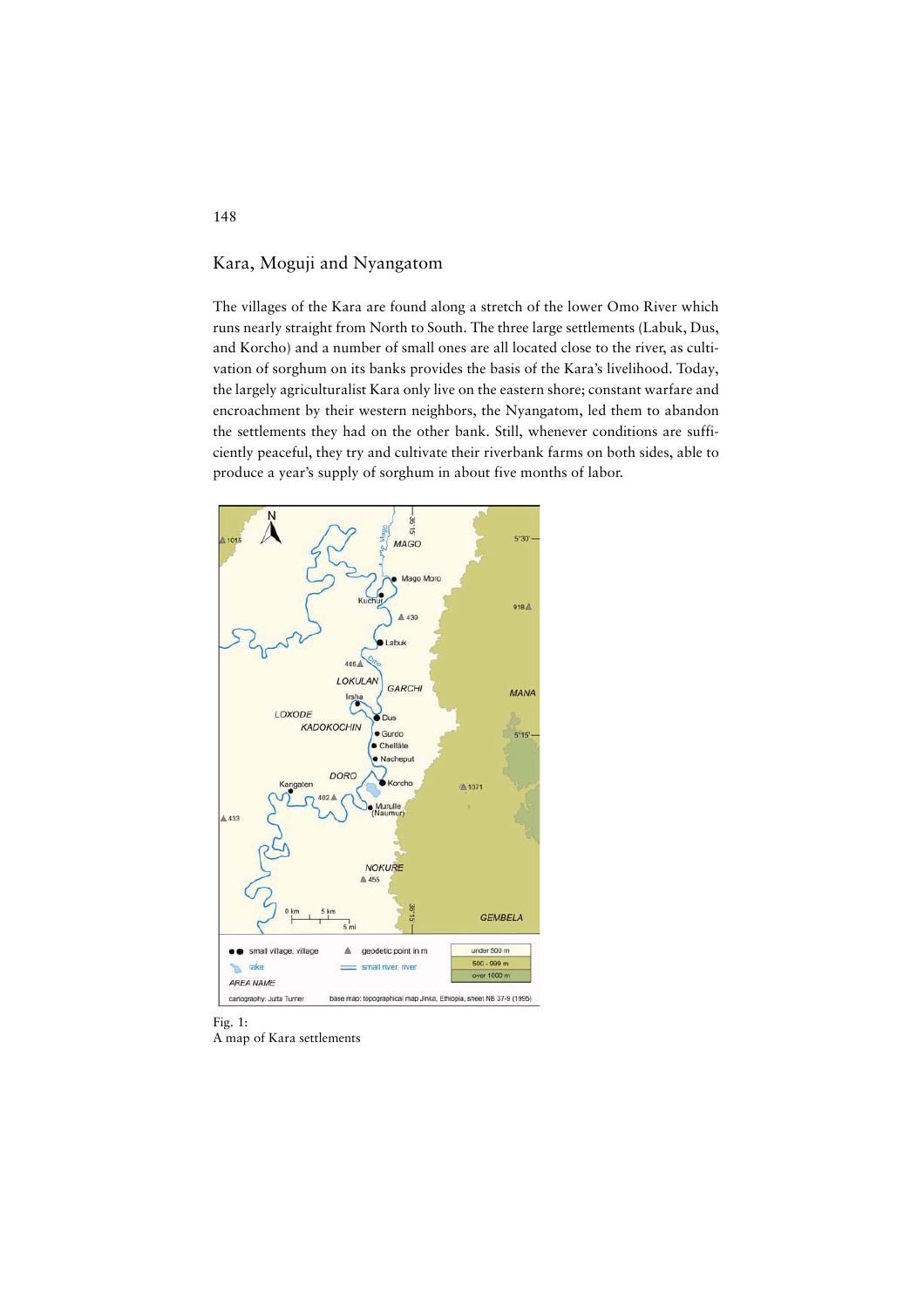# Kara, Moguji and Nyangatom

The villages of the Kara are found along a stretch of the lower Omo River which runs nearly straight from North to South. The three large settlements (Labuk, Dus, and Korcho) and a number of small ones are all located close to the river, as cultivation of sorghum on its banks provides the basis of the Kara's livelihood. Today, the largely agriculturalist Kara only live on the eastern shore; constant warfare and encroachment by their western neighbors, the Nyangatom, led them to abandon the settlements they had on the other bank. Still, whenever conditions are sufficiently peaceful, they try and cultivate their riverbank farms on both sides, able to produce a year's supply of sorghum in about five months of labor.



Fig. 1: A map of Kara settlements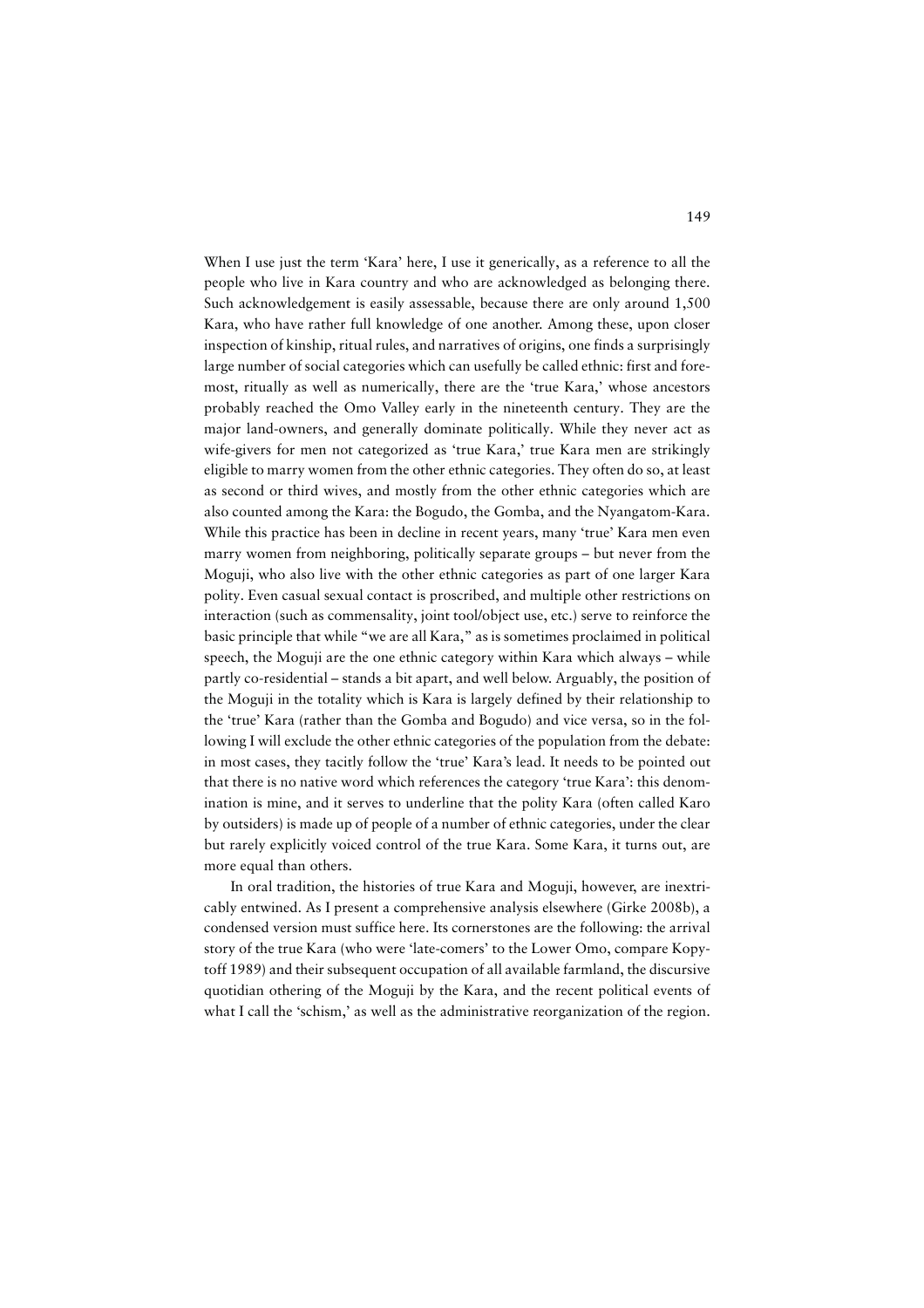When I use just the term 'Kara' here, I use it generically, as a reference to all the people who live in Kara country and who are acknowledged as belonging there. Such acknowledgement is easily assessable, because there are only around 1,500 Kara, who have rather full knowledge of one another. Among these, upon closer inspection of kinship, ritual rules, and narratives of origins, one finds a surprisingly large number of social categories which can usefully be called ethnic: first and foremost, ritually as well as numerically, there are the 'true Kara,' whose ancestors probably reached the Omo Valley early in the nineteenth century. They are the major land-owners, and generally dominate politically. While they never act as wife-givers for men not categorized as 'true Kara,' true Kara men are strikingly eligible to marry women from the other ethnic categories. They often do so, at least as second or third wives, and mostly from the other ethnic categories which are also counted among the Kara: the Bogudo, the Gomba, and the Nyangatom-Kara. While this practice has been in decline in recent years, many 'true' Kara men even marry women from neighboring, politically separate groups – but never from the Moguji, who also live with the other ethnic categories as part of one larger Kara polity. Even casual sexual contact is proscribed, and multiple other restrictions on interaction (such as commensality, joint tool/object use, etc.) serve to reinforce the basic principle that while "we are all Kara," as is sometimes proclaimed in political speech, the Moguji are the one ethnic category within Kara which always – while partly co-residential – stands a bit apart, and well below. Arguably, the position of the Moguji in the totality which is Kara is largely defined by their relationship to the 'true' Kara (rather than the Gomba and Bogudo) and vice versa, so in the following I will exclude the other ethnic categories of the population from the debate: in most cases, they tacitly follow the 'true' Kara's lead. It needs to be pointed out that there is no native word which references the category 'true Kara': this denomination is mine, and it serves to underline that the polity Kara (often called Karo by outsiders) is made up of people of a number of ethnic categories, under the clear but rarely explicitly voiced control of the true Kara. Some Kara, it turns out, are more equal than others.

In oral tradition, the histories of true Kara and Moguji, however, are inextricably entwined. As I present a comprehensive analysis elsewhere (Girke 2008b), a condensed version must suffice here. Its cornerstones are the following: the arrival story of the true Kara (who were 'late-comers' to the Lower Omo, compare Kopytoff 1989) and their subsequent occupation of all available farmland, the discursive quotidian othering of the Moguji by the Kara, and the recent political events of what I call the 'schism,' as well as the administrative reorganization of the region.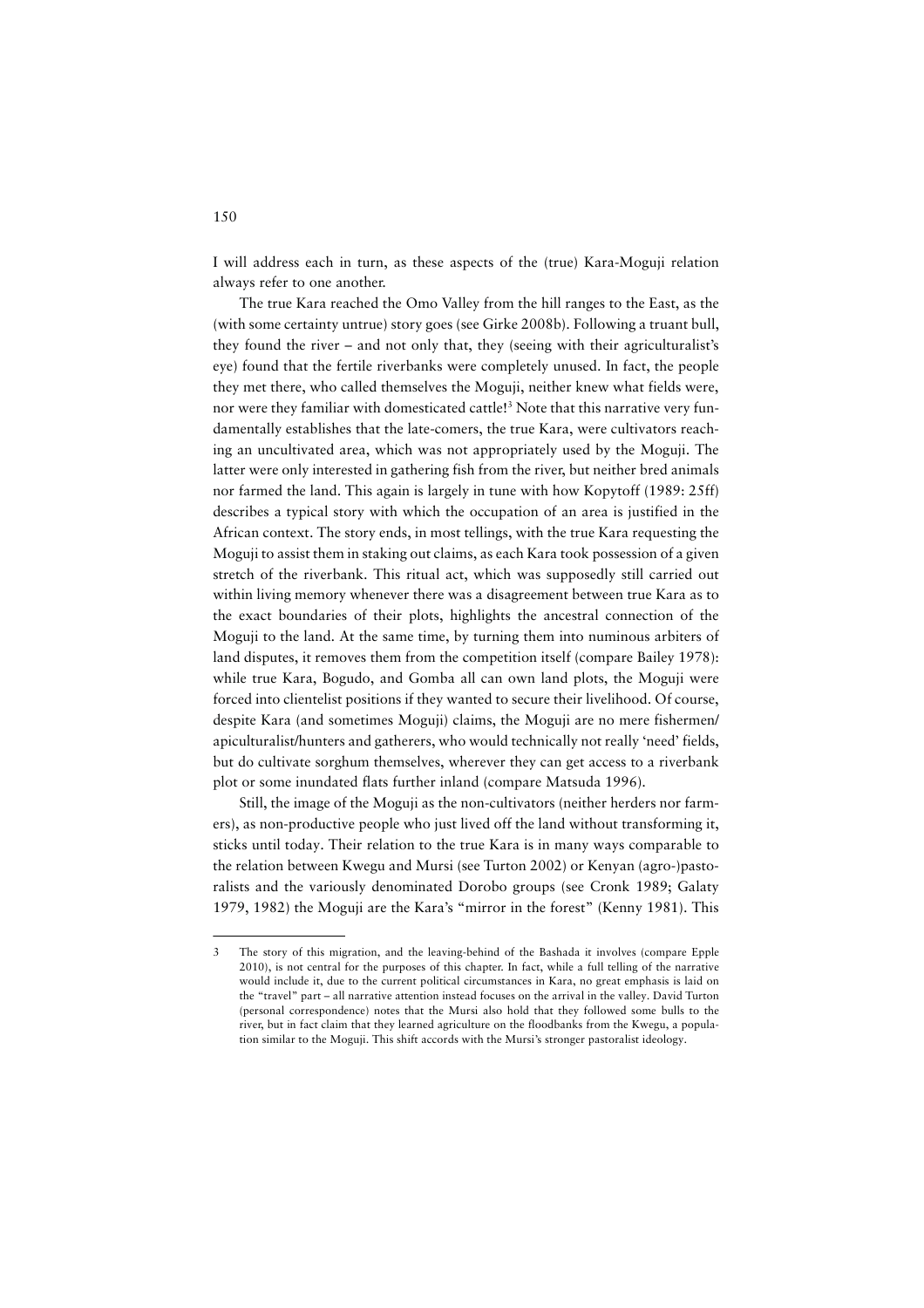I will address each in turn, as these aspects of the (true) Kara-Moguji relation always refer to one another.

The true Kara reached the Omo Valley from the hill ranges to the East, as the (with some certainty untrue) story goes (see Girke 2008b). Following a truant bull, they found the river – and not only that, they (seeing with their agriculturalist's eye) found that the fertile riverbanks were completely unused. In fact, the people they met there, who called themselves the Moguji, neither knew what fields were, nor were they familiar with domesticated cattle!<sup>3</sup> Note that this narrative very fundamentally establishes that the late-comers, the true Kara, were cultivators reaching an uncultivated area, which was not appropriately used by the Moguji. The latter were only interested in gathering fish from the river, but neither bred animals nor farmed the land. This again is largely in tune with how Kopytoff (1989: 25ff) describes a typical story with which the occupation of an area is justified in the African context. The story ends, in most tellings, with the true Kara requesting the Moguji to assist them in staking out claims, as each Kara took possession of a given stretch of the riverbank. This ritual act, which was supposedly still carried out within living memory whenever there was a disagreement between true Kara as to the exact boundaries of their plots, highlights the ancestral connection of the Moguji to the land. At the same time, by turning them into numinous arbiters of land disputes, it removes them from the competition itself (compare Bailey 1978): while true Kara, Bogudo, and Gomba all can own land plots, the Moguji were forced into clientelist positions if they wanted to secure their livelihood. Of course, despite Kara (and sometimes Moguji) claims, the Moguji are no mere fishermen/ apiculturalist/hunters and gatherers, who would technically not really 'need' fields, but do cultivate sorghum themselves, wherever they can get access to a riverbank plot or some inundated flats further inland (compare Matsuda 1996).

Still, the image of the Moguji as the non-cultivators (neither herders nor farmers), as non-productive people who just lived off the land without transforming it, sticks until today. Their relation to the true Kara is in many ways comparable to the relation between Kwegu and Mursi (see Turton 2002) or Kenyan (agro-)pastoralists and the variously denominated Dorobo groups (see Cronk 1989; Galaty 1979, 1982) the Moguji are the Kara's "mirror in the forest" (Kenny 1981). This

<sup>3</sup> The story of this migration, and the leaving-behind of the Bashada it involves (compare Epple 2010), is not central for the purposes of this chapter. In fact, while a full telling of the narrative would include it, due to the current political circumstances in Kara, no great emphasis is laid on the "travel" part – all narrative attention instead focuses on the arrival in the valley. David Turton (personal correspondence) notes that the Mursi also hold that they followed some bulls to the river, but in fact claim that they learned agriculture on the floodbanks from the Kwegu, a population similar to the Moguji. This shift accords with the Mursi's stronger pastoralist ideology.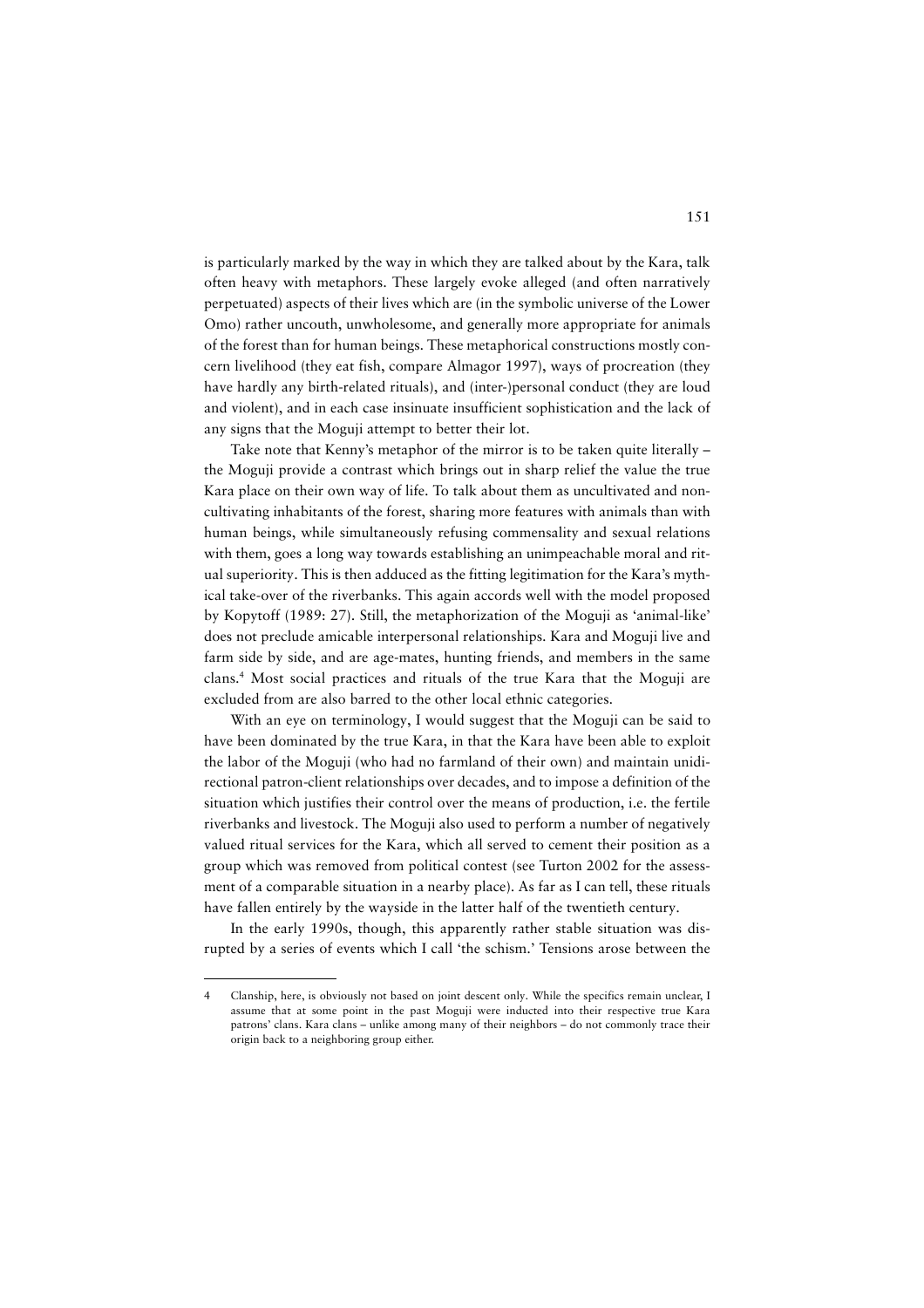is particularly marked by the way in which they are talked about by the Kara, talk often heavy with metaphors. These largely evoke alleged (and often narratively perpetuated) aspects of their lives which are (in the symbolic universe of the Lower Omo) rather uncouth, unwholesome, and generally more appropriate for animals of the forest than for human beings. These metaphorical constructions mostly concern livelihood (they eat fish, compare Almagor 1997), ways of procreation (they have hardly any birth-related rituals), and (inter-)personal conduct (they are loud and violent), and in each case insinuate insufficient sophistication and the lack of any signs that the Moguji attempt to better their lot.

Take note that Kenny's metaphor of the mirror is to be taken quite literally – the Moguji provide a contrast which brings out in sharp relief the value the true Kara place on their own way of life. To talk about them as uncultivated and noncultivating inhabitants of the forest, sharing more features with animals than with human beings, while simultaneously refusing commensality and sexual relations with them, goes a long way towards establishing an unimpeachable moral and ritual superiority. This is then adduced as the fitting legitimation for the Kara's mythical take-over of the riverbanks. This again accords well with the model proposed by Kopytoff (1989: 27). Still, the metaphorization of the Moguji as 'animal-like' does not preclude amicable interpersonal relationships. Kara and Moguji live and farm side by side, and are age-mates, hunting friends, and members in the same clans.4 Most social practices and rituals of the true Kara that the Moguji are excluded from are also barred to the other local ethnic categories.

With an eye on terminology, I would suggest that the Moguji can be said to have been dominated by the true Kara, in that the Kara have been able to exploit the labor of the Moguji (who had no farmland of their own) and maintain unidirectional patron-client relationships over decades, and to impose a definition of the situation which justifies their control over the means of production, i.e. the fertile riverbanks and livestock. The Moguji also used to perform a number of negatively valued ritual services for the Kara, which all served to cement their position as a group which was removed from political contest (see Turton 2002 for the assessment of a comparable situation in a nearby place). As far as I can tell, these rituals have fallen entirely by the wayside in the latter half of the twentieth century.

In the early 1990s, though, this apparently rather stable situation was disrupted by a series of events which I call 'the schism.' Tensions arose between the

<sup>4</sup> Clanship, here, is obviously not based on joint descent only. While the specifics remain unclear, I assume that at some point in the past Moguji were inducted into their respective true Kara patrons' clans. Kara clans – unlike among many of their neighbors – do not commonly trace their origin back to a neighboring group either.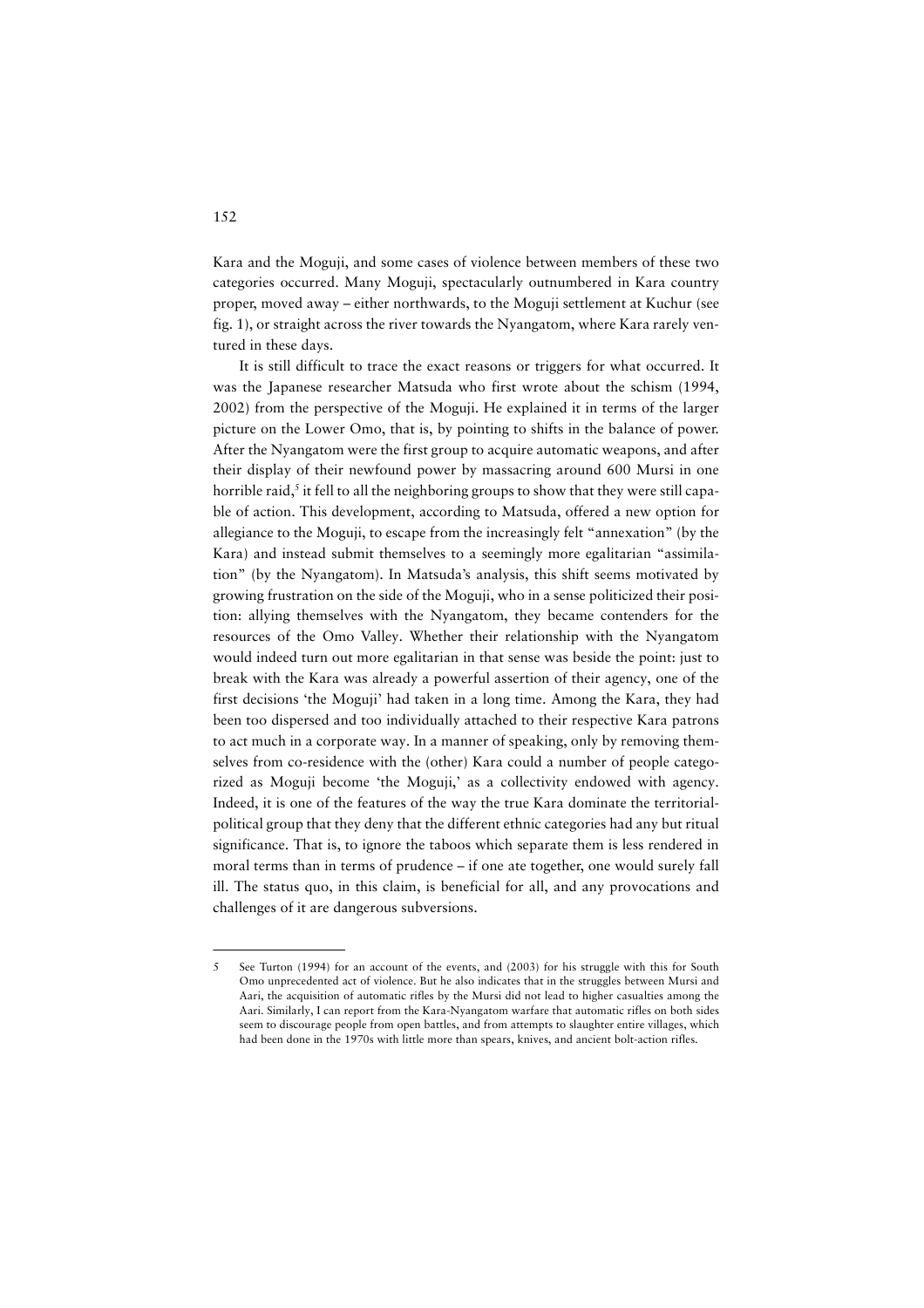Kara and the Moguji, and some cases of violence between members of these two categories occurred. Many Moguji, spectacularly outnumbered in Kara country proper, moved away – either northwards, to the Moguji settlement at Kuchur (see fig. 1), or straight across the river towards the Nyangatom, where Kara rarely ventured in these days.

It is still difficult to trace the exact reasons or triggers for what occurred. It was the Japanese researcher Matsuda who first wrote about the schism (1994, 2002) from the perspective of the Moguji. He explained it in terms of the larger picture on the Lower Omo, that is, by pointing to shifts in the balance of power. After the Nyangatom were the first group to acquire automatic weapons, and after their display of their newfound power by massacring around 600 Mursi in one horrible raid,<sup>5</sup> it fell to all the neighboring groups to show that they were still capable of action. This development, according to Matsuda, offered a new option for allegiance to the Moguji, to escape from the increasingly felt "annexation" (by the Kara) and instead submit themselves to a seemingly more egalitarian "assimilation" (by the Nyangatom). In Matsuda's analysis, this shift seems motivated by growing frustration on the side of the Moguji, who in a sense politicized their position: allying themselves with the Nyangatom, they became contenders for the resources of the Omo Valley. Whether their relationship with the Nyangatom would indeed turn out more egalitarian in that sense was beside the point: just to break with the Kara was already a powerful assertion of their agency, one of the first decisions 'the Moguji' had taken in a long time. Among the Kara, they had been too dispersed and too individually attached to their respective Kara patrons to act much in a corporate way. In a manner of speaking, only by removing themselves from co-residence with the (other) Kara could a number of people categorized as Moguji become 'the Moguji,' as a collectivity endowed with agency. Indeed, it is one of the features of the way the true Kara dominate the territorialpolitical group that they deny that the different ethnic categories had any but ritual significance. That is, to ignore the taboos which separate them is less rendered in moral terms than in terms of prudence – if one ate together, one would surely fall ill. The status quo, in this claim, is beneficial for all, and any provocations and challenges of it are dangerous subversions.

<sup>5</sup> See Turton (1994) for an account of the events, and (2003) for his struggle with this for South Omo unprecedented act of violence. But he also indicates that in the struggles between Mursi and Aari, the acquisition of automatic rifles by the Mursi did not lead to higher casualties among the Aari. Similarly, I can report from the Kara-Nyangatom warfare that automatic rifles on both sides seem to discourage people from open battles, and from attempts to slaughter entire villages, which had been done in the 1970s with little more than spears, knives, and ancient bolt-action rifles.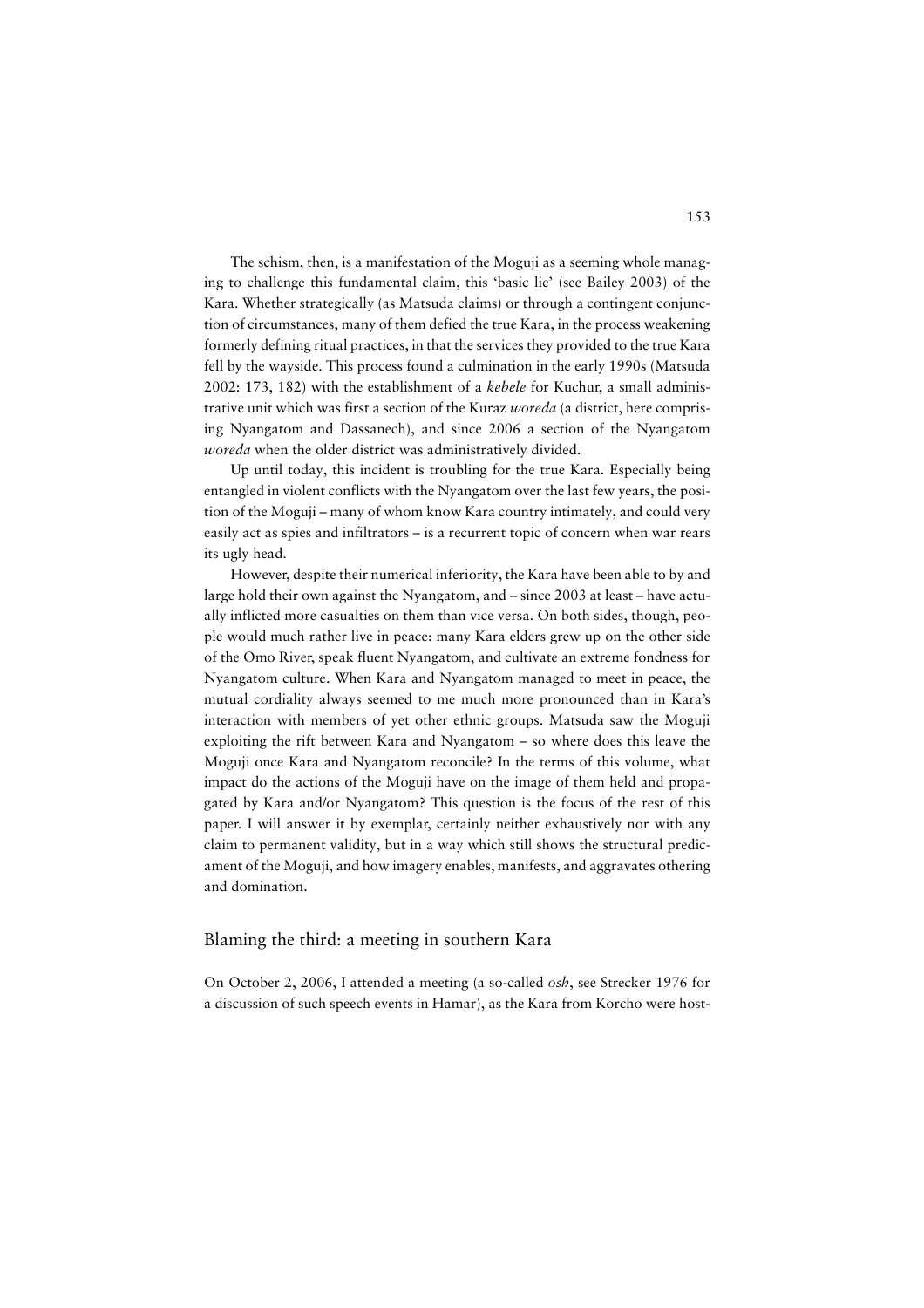The schism, then, is a manifestation of the Moguji as a seeming whole managing to challenge this fundamental claim, this 'basic lie' (see Bailey 2003) of the Kara. Whether strategically (as Matsuda claims) or through a contingent conjunction of circumstances, many of them defied the true Kara, in the process weakening formerly defining ritual practices, in that the services they provided to the true Kara fell by the wayside. This process found a culmination in the early 1990s (Matsuda 2002: 173, 182) with the establishment of a *kebele* for Kuchur, a small administrative unit which was first a section of the Kuraz *woreda* (a district, here comprising Nyangatom and Dassanech), and since 2006 a section of the Nyangatom *woreda* when the older district was administratively divided.

Up until today, this incident is troubling for the true Kara. Especially being entangled in violent conflicts with the Nyangatom over the last few years, the position of the Moguji – many of whom know Kara country intimately, and could very easily act as spies and infiltrators – is a recurrent topic of concern when war rears its ugly head.

However, despite their numerical inferiority, the Kara have been able to by and large hold their own against the Nyangatom, and – since 2003 at least – have actually inflicted more casualties on them than vice versa. On both sides, though, people would much rather live in peace: many Kara elders grew up on the other side of the Omo River, speak fluent Nyangatom, and cultivate an extreme fondness for Nyangatom culture. When Kara and Nyangatom managed to meet in peace, the mutual cordiality always seemed to me much more pronounced than in Kara's interaction with members of yet other ethnic groups. Matsuda saw the Moguji exploiting the rift between Kara and Nyangatom – so where does this leave the Moguji once Kara and Nyangatom reconcile? In the terms of this volume, what impact do the actions of the Moguji have on the image of them held and propagated by Kara and/or Nyangatom? This question is the focus of the rest of this paper. I will answer it by exemplar, certainly neither exhaustively nor with any claim to permanent validity, but in a way which still shows the structural predicament of the Moguji, and how imagery enables, manifests, and aggravates othering and domination.

#### Blaming the third: a meeting in southern Kara

On October 2, 2006, I attended a meeting (a so-called *osh*, see Strecker 1976 for a discussion of such speech events in Hamar), as the Kara from Korcho were host-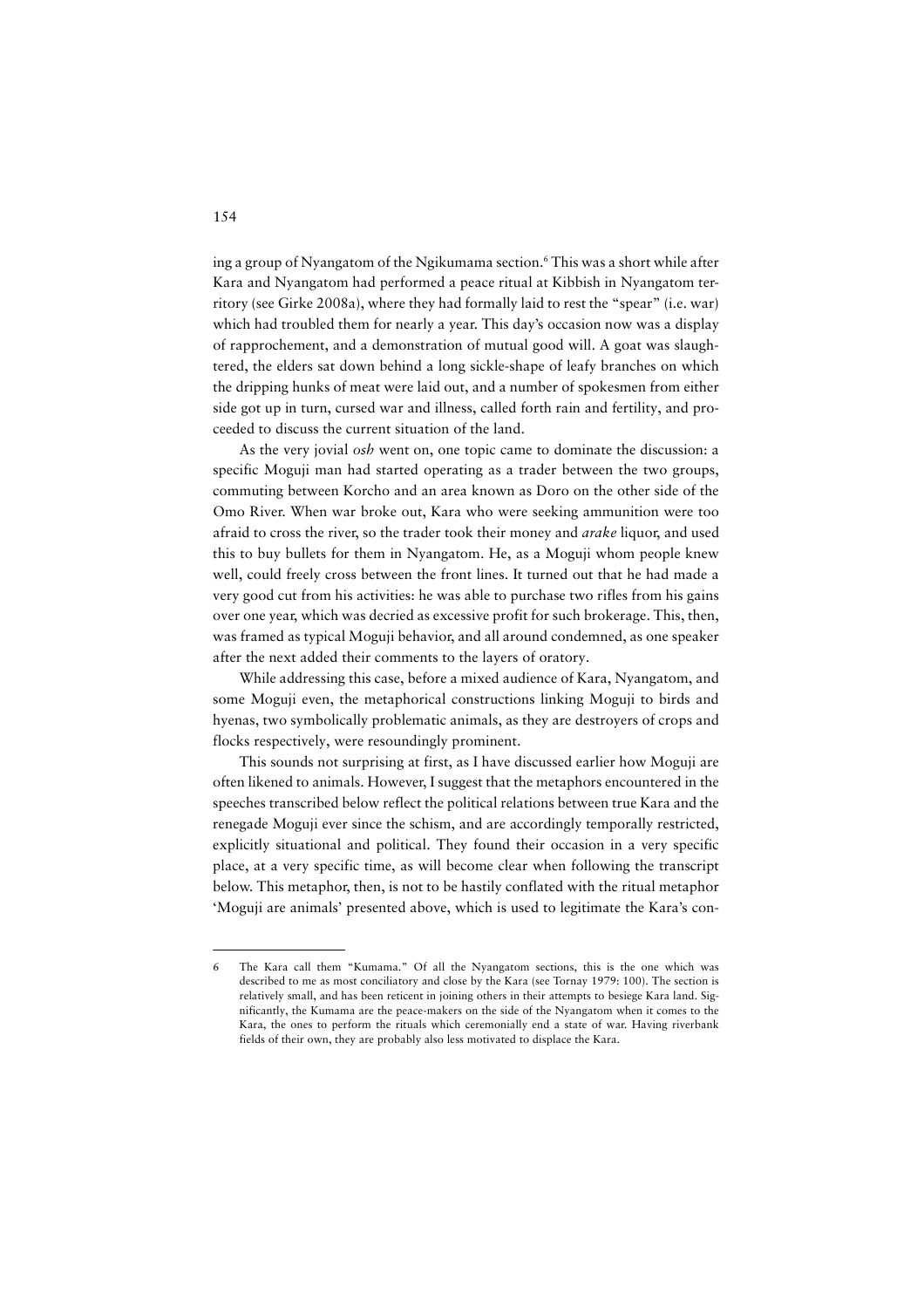ing a group of Nyangatom of the Ngikumama section.6 This was a short while after Kara and Nyangatom had performed a peace ritual at Kibbish in Nyangatom territory (see Girke 2008a), where they had formally laid to rest the "spear" (i.e. war) which had troubled them for nearly a year. This day's occasion now was a display of rapprochement, and a demonstration of mutual good will. A goat was slaughtered, the elders sat down behind a long sickle-shape of leafy branches on which the dripping hunks of meat were laid out, and a number of spokesmen from either side got up in turn, cursed war and illness, called forth rain and fertility, and proceeded to discuss the current situation of the land.

As the very jovial *osh* went on, one topic came to dominate the discussion: a specific Moguji man had started operating as a trader between the two groups, commuting between Korcho and an area known as Doro on the other side of the Omo River. When war broke out, Kara who were seeking ammunition were too afraid to cross the river, so the trader took their money and *arake* liquor, and used this to buy bullets for them in Nyangatom. He, as a Moguji whom people knew well, could freely cross between the front lines. It turned out that he had made a very good cut from his activities: he was able to purchase two rifles from his gains over one year, which was decried as excessive profit for such brokerage. This, then, was framed as typical Moguji behavior, and all around condemned, as one speaker after the next added their comments to the layers of oratory.

While addressing this case, before a mixed audience of Kara, Nyangatom, and some Moguji even, the metaphorical constructions linking Moguji to birds and hyenas, two symbolically problematic animals, as they are destroyers of crops and flocks respectively, were resoundingly prominent.

This sounds not surprising at first, as I have discussed earlier how Moguji are often likened to animals. However, I suggest that the metaphors encountered in the speeches transcribed below reflect the political relations between true Kara and the renegade Moguji ever since the schism, and are accordingly temporally restricted, explicitly situational and political. They found their occasion in a very specific place, at a very specific time, as will become clear when following the transcript below. This metaphor, then, is not to be hastily conflated with the ritual metaphor 'Moguji are animals' presented above, which is used to legitimate the Kara's con-

The Kara call them "Kumama." Of all the Nyangatom sections, this is the one which was described to me as most conciliatory and close by the Kara (see Tornay 1979: 100). The section is relatively small, and has been reticent in joining others in their attempts to besiege Kara land. Significantly, the Kumama are the peace-makers on the side of the Nyangatom when it comes to the Kara, the ones to perform the rituals which ceremonially end a state of war. Having riverbank fields of their own, they are probably also less motivated to displace the Kara.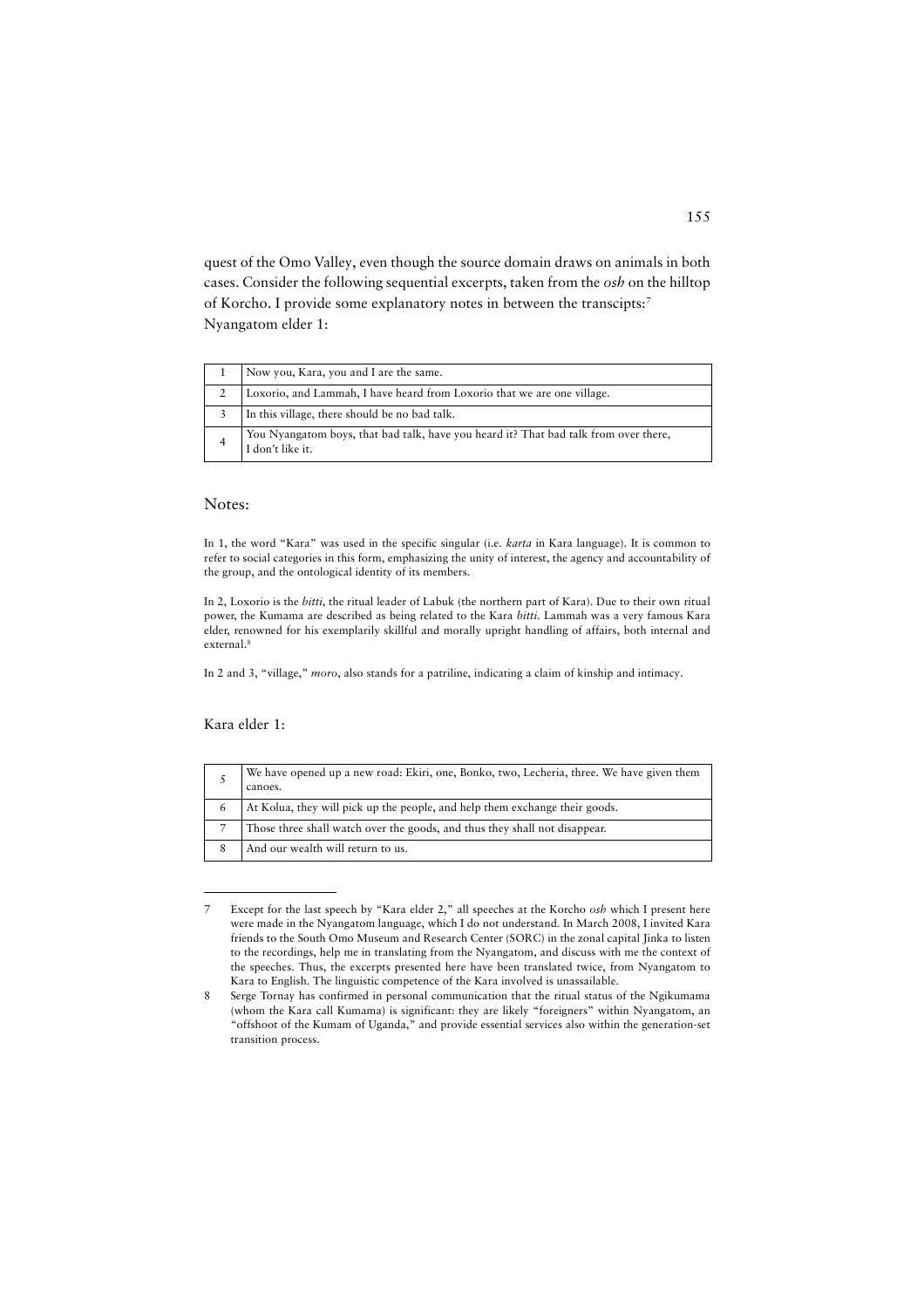quest of the Omo Valley, even though the source domain draws on animals in both cases. Consider the following sequential excerpts, taken from the *osh* on the hilltop of Korcho. I provide some explanatory notes in between the transcipts:7 Nyangatom elder 1:

| Now you, Kara, you and I are the same.                                                                   |
|----------------------------------------------------------------------------------------------------------|
| Loxorio, and Lammah, I have heard from Loxorio that we are one village.                                  |
| In this village, there should be no bad talk.                                                            |
| You Nyangatom boys, that bad talk, have you heard it? That bad talk from over there,<br>I don't like it. |

### Notes:

In 1, the word "Kara" was used in the specific singular (i.e. *karta* in Kara language). It is common to refer to social categories in this form, emphasizing the unity of interest, the agency and accountability of the group, and the ontological identity of its members.

In 2, Loxorio is the *bitti*, the ritual leader of Labuk (the northern part of Kara). Due to their own ritual power, the Kumama are described as being related to the Kara *bitti*. Lammah was a very famous Kara elder, renowned for his exemplarily skillful and morally upright handling of affairs, both internal and external.8

In 2 and 3, "village," *moro*, also stands for a patriline, indicating a claim of kinship and intimacy.

### Kara elder 1:

|   | We have opened up a new road: Ekiri, one, Bonko, two, Lecheria, three. We have given them<br>canoes. |
|---|------------------------------------------------------------------------------------------------------|
|   | At Kolua, they will pick up the people, and help them exchange their goods.                          |
|   | Those three shall watch over the goods, and thus they shall not disappear.                           |
| 8 | And our wealth will return to us.                                                                    |

<sup>7</sup> Except for the last speech by "Kara elder 2," all speeches at the Korcho *osh* which I present here were made in the Nyangatom language, which I do not understand. In March 2008, I invited Kara friends to the South Omo Museum and Research Center (SORC) in the zonal capital Jinka to listen to the recordings, help me in translating from the Nyangatom, and discuss with me the context of the speeches. Thus, the excerpts presented here have been translated twice, from Nyangatom to Kara to English. The linguistic competence of the Kara involved is unassailable.

<sup>8</sup> Serge Tornay has confirmed in personal communication that the ritual status of the Ngikumama (whom the Kara call Kumama) is significant: they are likely "foreigners" within Nyangatom, an "offshoot of the Kumam of Uganda," and provide essential services also within the generation-set transition process.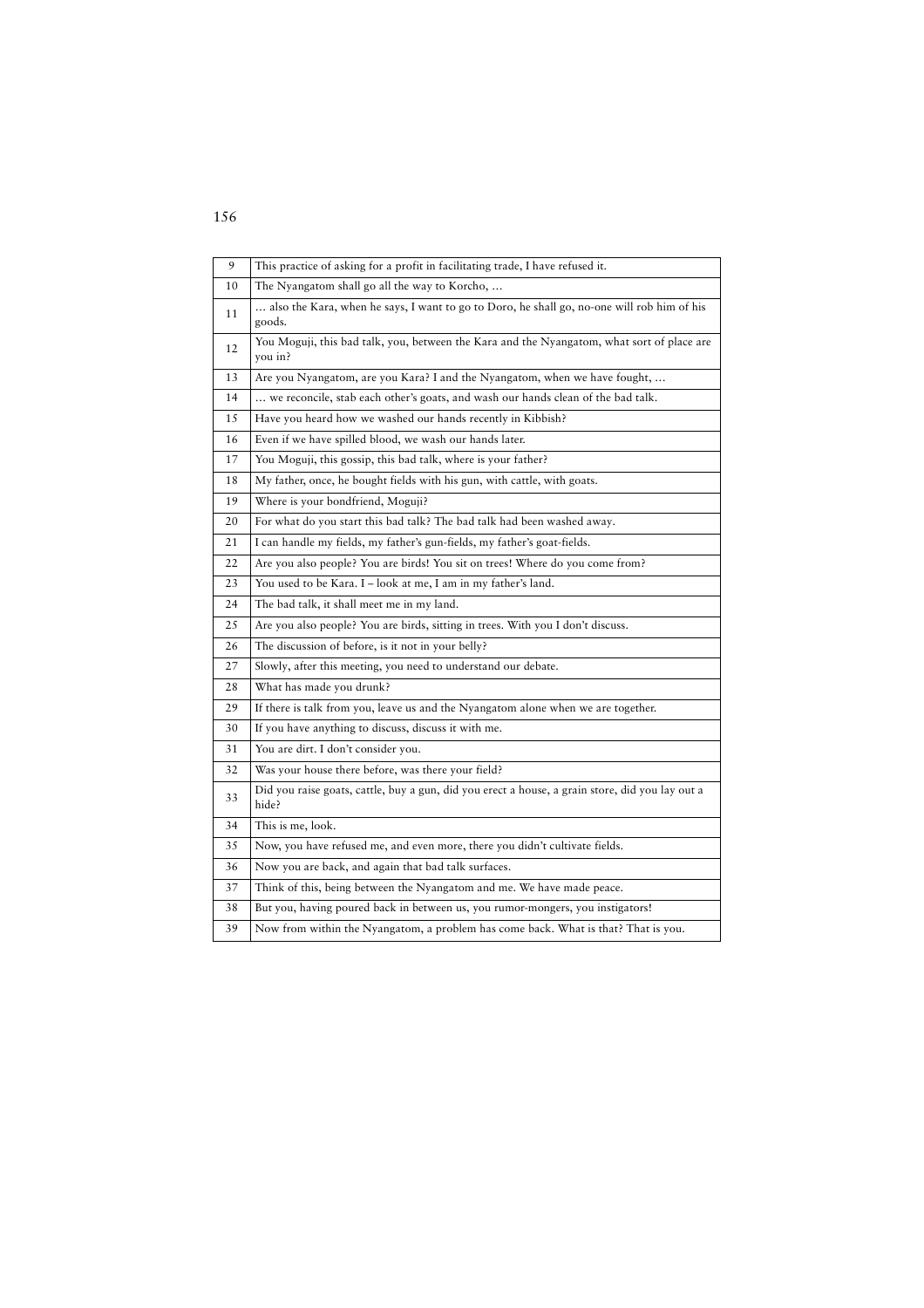| 9  | This practice of asking for a profit in facilitating trade, I have refused it.                           |
|----|----------------------------------------------------------------------------------------------------------|
| 10 | The Nyangatom shall go all the way to Korcho,                                                            |
| 11 | also the Kara, when he says, I want to go to Doro, he shall go, no-one will rob him of his<br>goods.     |
| 12 | You Moguji, this bad talk, you, between the Kara and the Nyangatom, what sort of place are<br>you in?    |
| 13 | Are you Nyangatom, are you Kara? I and the Nyangatom, when we have fought,                               |
| 14 | we reconcile, stab each other's goats, and wash our hands clean of the bad talk.                         |
| 15 | Have you heard how we washed our hands recently in Kibbish?                                              |
| 16 | Even if we have spilled blood, we wash our hands later.                                                  |
| 17 | You Moguji, this gossip, this bad talk, where is your father?                                            |
| 18 | My father, once, he bought fields with his gun, with cattle, with goats.                                 |
| 19 | Where is your bondfriend, Moguji?                                                                        |
| 20 | For what do you start this bad talk? The bad talk had been washed away.                                  |
| 21 | I can handle my fields, my father's gun-fields, my father's goat-fields.                                 |
| 22 | Are you also people? You are birds! You sit on trees! Where do you come from?                            |
| 23 | You used to be Kara. I - look at me, I am in my father's land.                                           |
| 24 | The bad talk, it shall meet me in my land.                                                               |
| 25 | Are you also people? You are birds, sitting in trees. With you I don't discuss.                          |
| 26 | The discussion of before, is it not in your belly?                                                       |
| 27 | Slowly, after this meeting, you need to understand our debate.                                           |
| 28 | What has made you drunk?                                                                                 |
| 29 | If there is talk from you, leave us and the Nyangatom alone when we are together.                        |
| 30 | If you have anything to discuss, discuss it with me.                                                     |
| 31 | You are dirt. I don't consider you.                                                                      |
| 32 | Was your house there before, was there your field?                                                       |
| 33 | Did you raise goats, cattle, buy a gun, did you erect a house, a grain store, did you lay out a<br>hide? |
| 34 | This is me, look.                                                                                        |
| 35 | Now, you have refused me, and even more, there you didn't cultivate fields.                              |
| 36 | Now you are back, and again that bad talk surfaces.                                                      |
| 37 | Think of this, being between the Nyangatom and me. We have made peace.                                   |
| 38 | But you, having poured back in between us, you rumor-mongers, you instigators!                           |
| 39 | Now from within the Nyangatom, a problem has come back. What is that? That is you.                       |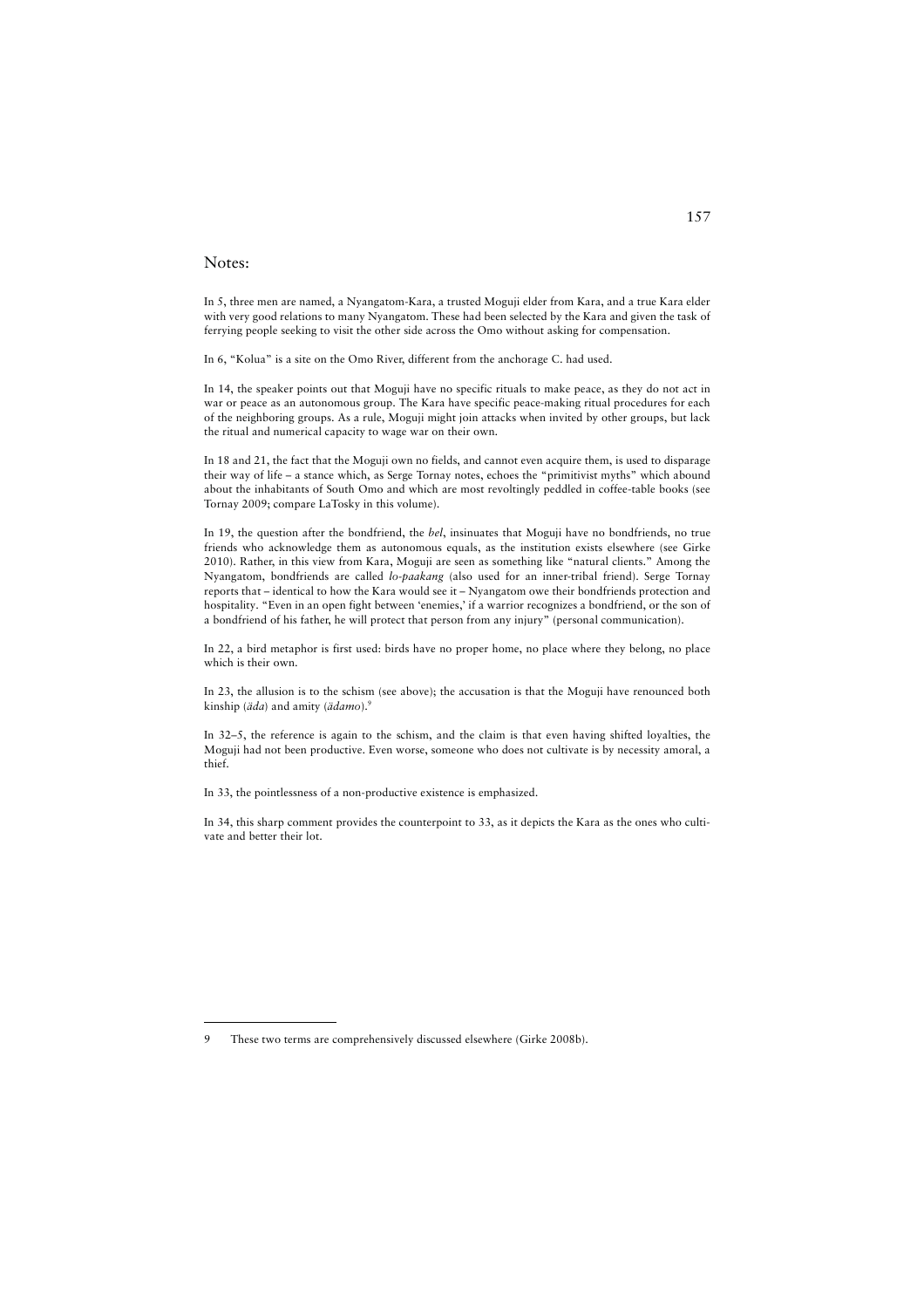### Notes:

In 5, three men are named, a Nyangatom-Kara, a trusted Moguji elder from Kara, and a true Kara elder with very good relations to many Nyangatom. These had been selected by the Kara and given the task of ferrying people seeking to visit the other side across the Omo without asking for compensation.

In 6, "Kolua" is a site on the Omo River, different from the anchorage C. had used.

In 14, the speaker points out that Moguji have no specific rituals to make peace, as they do not act in war or peace as an autonomous group. The Kara have specific peace-making ritual procedures for each of the neighboring groups. As a rule, Moguji might join attacks when invited by other groups, but lack the ritual and numerical capacity to wage war on their own.

In 18 and 21, the fact that the Moguji own no fields, and cannot even acquire them, is used to disparage their way of life – a stance which, as Serge Tornay notes, echoes the "primitivist myths" which abound about the inhabitants of South Omo and which are most revoltingly peddled in coffee-table books (see Tornay 2009; compare LaTosky in this volume).

In 19, the question after the bondfriend, the *bel*, insinuates that Moguji have no bondfriends, no true friends who acknowledge them as autonomous equals, as the institution exists elsewhere (see Girke 2010). Rather, in this view from Kara, Moguji are seen as something like "natural clients." Among the Nyangatom, bondfriends are called *lo-paakang* (also used for an inner-tribal friend). Serge Tornay reports that – identical to how the Kara would see it – Nyangatom owe their bondfriends protection and hospitality. "Even in an open fight between 'enemies,' if a warrior recognizes a bondfriend, or the son of a bondfriend of his father, he will protect that person from any injury" (personal communication).

In 22, a bird metaphor is first used: birds have no proper home, no place where they belong, no place which is their own.

In 23, the allusion is to the schism (see above); the accusation is that the Moguji have renounced both kinship (*äda*) and amity (*ädamo*).9

In 32–5, the reference is again to the schism, and the claim is that even having shifted loyalties, the Moguji had not been productive. Even worse, someone who does not cultivate is by necessity amoral, a thief.

In 33, the pointlessness of a non-productive existence is emphasized.

In 34, this sharp comment provides the counterpoint to 33, as it depicts the Kara as the ones who cultivate and better their lot.

<sup>9</sup> These two terms are comprehensively discussed elsewhere (Girke 2008b).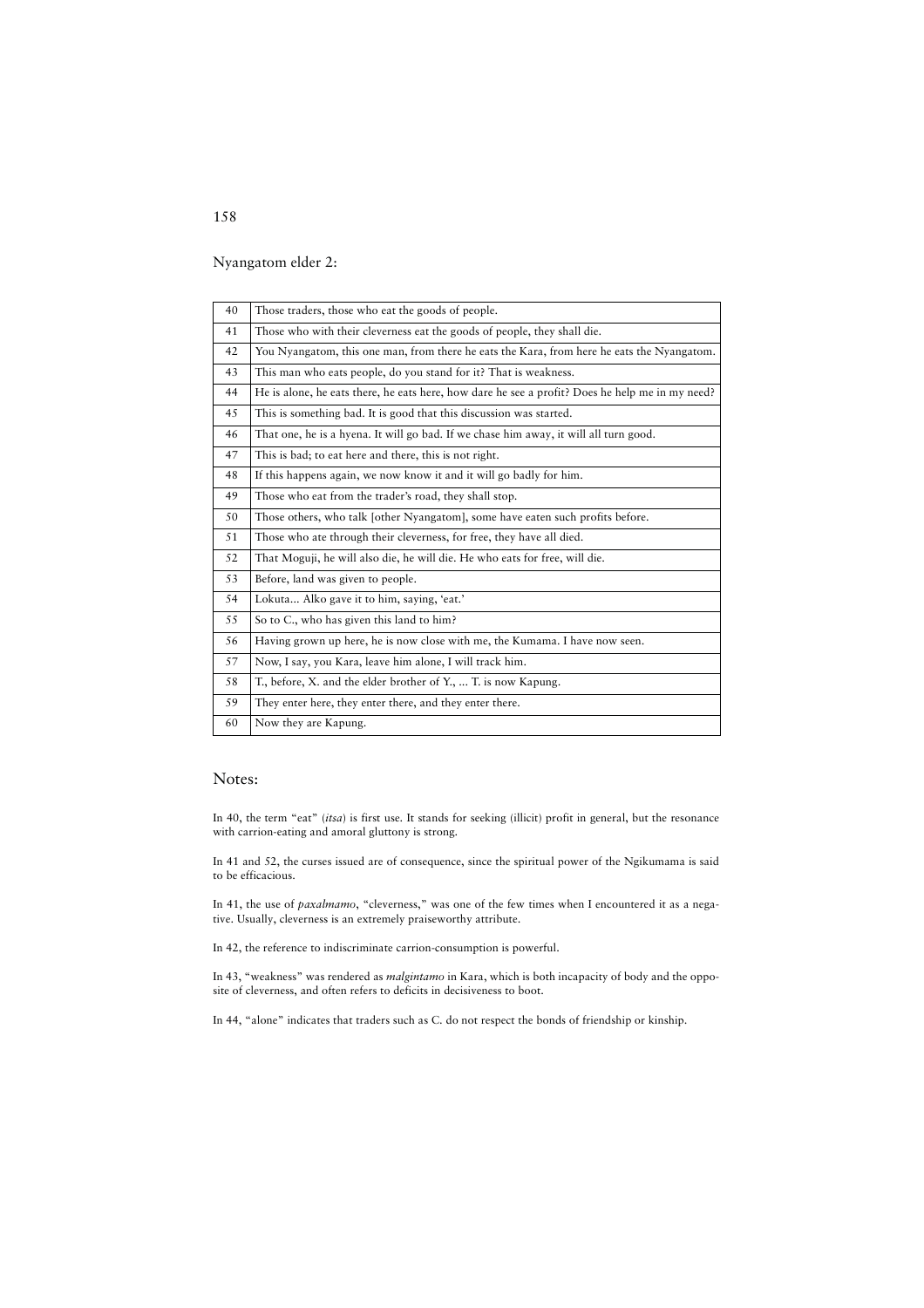Nyangatom elder 2:

| 40 | Those traders, those who eat the goods of people.                                               |
|----|-------------------------------------------------------------------------------------------------|
| 41 | Those who with their cleverness eat the goods of people, they shall die.                        |
| 42 | You Nyangatom, this one man, from there he eats the Kara, from here he eats the Nyangatom.      |
| 43 | This man who eats people, do you stand for it? That is weakness.                                |
| 44 | He is alone, he eats there, he eats here, how dare he see a profit? Does he help me in my need? |
| 45 | This is something bad. It is good that this discussion was started.                             |
| 46 | That one, he is a hyena. It will go bad. If we chase him away, it will all turn good.           |
| 47 | This is bad; to eat here and there, this is not right.                                          |
| 48 | If this happens again, we now know it and it will go badly for him.                             |
| 49 | Those who eat from the trader's road, they shall stop.                                          |
| 50 | Those others, who talk [other Nyangatom], some have eaten such profits before.                  |
| 51 | Those who ate through their cleverness, for free, they have all died.                           |
| 52 | That Moguji, he will also die, he will die. He who eats for free, will die.                     |
| 53 | Before, land was given to people.                                                               |
| 54 | Lokuta Alko gave it to him, saying, 'eat.'                                                      |
| 55 | So to C., who has given this land to him?                                                       |
| 56 | Having grown up here, he is now close with me, the Kumama. I have now seen.                     |
| 57 | Now, I say, you Kara, leave him alone, I will track him.                                        |
| 58 | T., before, X. and the elder brother of Y.,  T. is now Kapung.                                  |
| 59 | They enter here, they enter there, and they enter there.                                        |
| 60 | Now they are Kapung.                                                                            |

# Notes:

In 40, the term "eat" (*itsa*) is first use. It stands for seeking (illicit) profit in general, but the resonance with carrion-eating and amoral gluttony is strong.

In 41 and 52, the curses issued are of consequence, since the spiritual power of the Ngikumama is said to be efficacious.

In 41, the use of *paxalmamo*, "cleverness," was one of the few times when I encountered it as a negative. Usually, cleverness is an extremely praiseworthy attribute.

In 42, the reference to indiscriminate carrion-consumption is powerful.

In 43, "weakness" was rendered as *malgintamo* in Kara, which is both incapacity of body and the opposite of cleverness, and often refers to deficits in decisiveness to boot.

In 44, "alone" indicates that traders such as C. do not respect the bonds of friendship or kinship.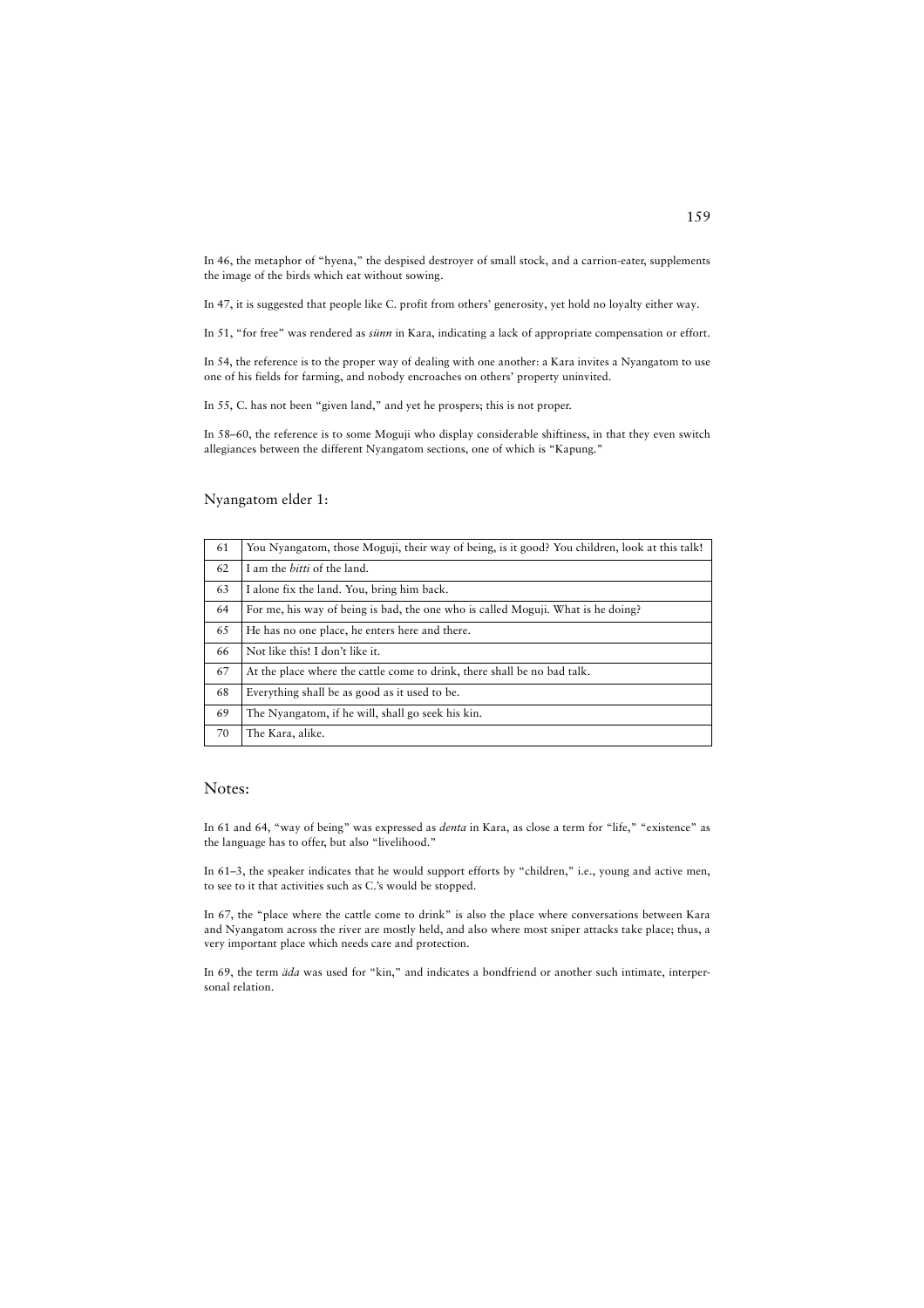In 46, the metaphor of "hyena," the despised destroyer of small stock, and a carrion-eater, supplements the image of the birds which eat without sowing.

In 47, it is suggested that people like C. profit from others' generosity, yet hold no loyalty either way.

In 51, "for free" was rendered as *sünn* in Kara, indicating a lack of appropriate compensation or effort.

In 54, the reference is to the proper way of dealing with one another: a Kara invites a Nyangatom to use one of his fields for farming, and nobody encroaches on others' property uninvited.

In 55, C. has not been "given land," and yet he prospers; this is not proper.

In 58–60, the reference is to some Moguji who display considerable shiftiness, in that they even switch allegiances between the different Nyangatom sections, one of which is "Kapung."

# Nyangatom elder 1:

| 61 | You Nyangatom, those Moguji, their way of being, is it good? You children, look at this talk! |
|----|-----------------------------------------------------------------------------------------------|
| 62 | I am the <i>bitti</i> of the land.                                                            |
| 63 | I alone fix the land. You, bring him back.                                                    |
| 64 | For me, his way of being is bad, the one who is called Moguji. What is he doing?              |
| 65 | He has no one place, he enters here and there.                                                |
| 66 | Not like this! I don't like it.                                                               |
| 67 | At the place where the cattle come to drink, there shall be no bad talk.                      |
| 68 | Everything shall be as good as it used to be.                                                 |
| 69 | The Nyangatom, if he will, shall go seek his kin.                                             |
| 70 | The Kara, alike.                                                                              |

#### Notes:

In 61 and 64, "way of being" was expressed as *denta* in Kara, as close a term for "life," "existence" as the language has to offer, but also "livelihood."

In 61–3, the speaker indicates that he would support efforts by "children," i.e., young and active men, to see to it that activities such as C.'s would be stopped.

In 67, the "place where the cattle come to drink" is also the place where conversations between Kara and Nyangatom across the river are mostly held, and also where most sniper attacks take place; thus, a very important place which needs care and protection.

In 69, the term *äda* was used for "kin," and indicates a bondfriend or another such intimate, interpersonal relation.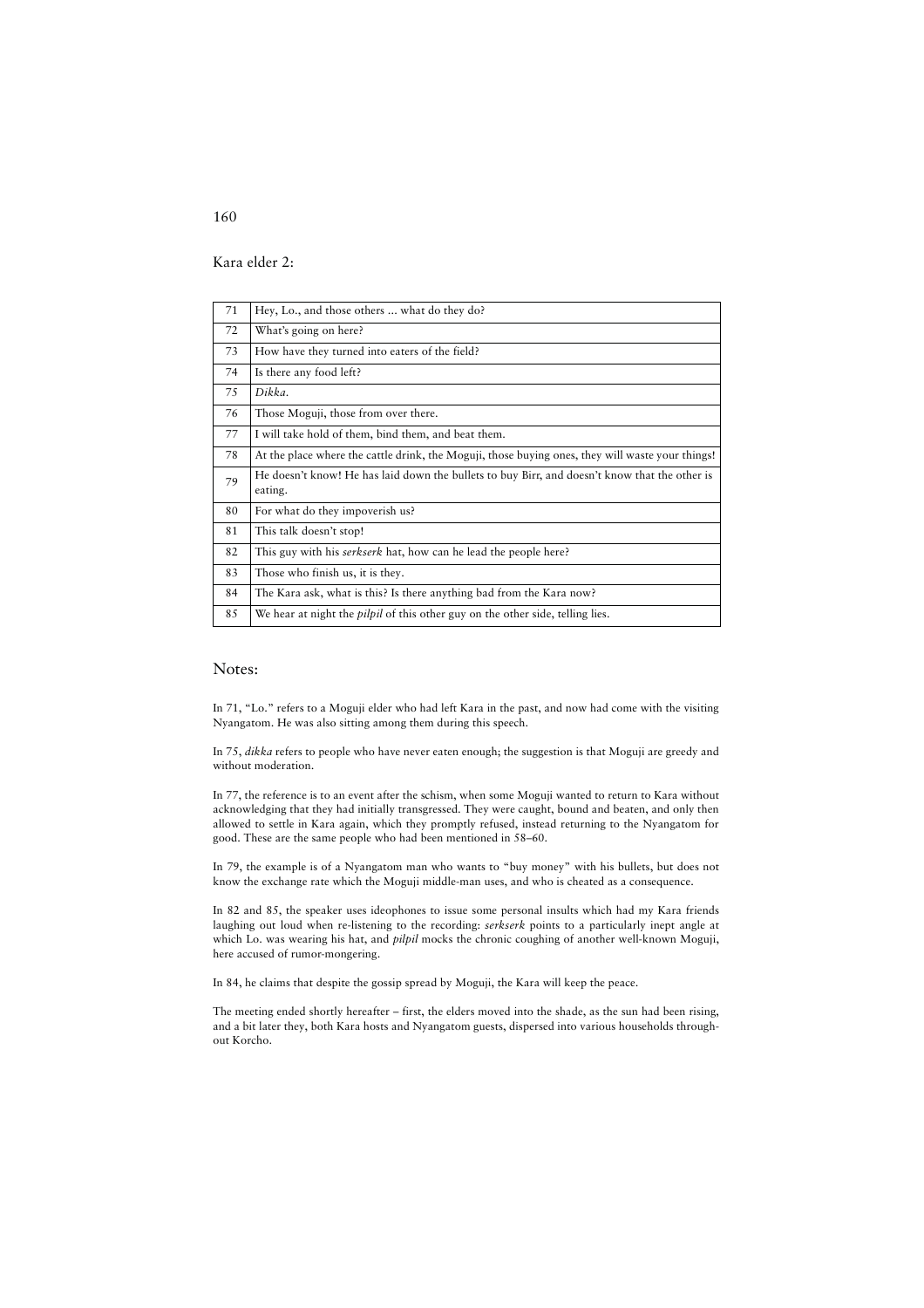Kara elder 2:

| 71 | Hey, Lo., and those others  what do they do?                                                             |
|----|----------------------------------------------------------------------------------------------------------|
| 72 | What's going on here?                                                                                    |
| 73 | How have they turned into eaters of the field?                                                           |
| 74 | Is there any food left?                                                                                  |
| 75 | Dikka.                                                                                                   |
| 76 | Those Moguji, those from over there.                                                                     |
| 77 | I will take hold of them, bind them, and beat them.                                                      |
| 78 | At the place where the cattle drink, the Moguji, those buying ones, they will waste your things!         |
| 79 | He doesn't know! He has laid down the bullets to buy Birr, and doesn't know that the other is<br>eating. |
| 80 | For what do they impoverish us?                                                                          |
| 81 | This talk doesn't stop!                                                                                  |
| 82 | This guy with his <i>serkserk</i> hat, how can he lead the people here?                                  |
| 83 | Those who finish us, it is they.                                                                         |
| 84 | The Kara ask, what is this? Is there anything bad from the Kara now?                                     |
| 85 | We hear at night the <i>pilpil</i> of this other guy on the other side, telling lies.                    |

### Notes:

In 71, "Lo." refers to a Moguji elder who had left Kara in the past, and now had come with the visiting Nyangatom. He was also sitting among them during this speech.

In 75, *dikka* refers to people who have never eaten enough; the suggestion is that Moguji are greedy and without moderation.

In 77, the reference is to an event after the schism, when some Moguji wanted to return to Kara without acknowledging that they had initially transgressed. They were caught, bound and beaten, and only then allowed to settle in Kara again, which they promptly refused, instead returning to the Nyangatom for good. These are the same people who had been mentioned in 58–60.

In 79, the example is of a Nyangatom man who wants to "buy money" with his bullets, but does not know the exchange rate which the Moguji middle-man uses, and who is cheated as a consequence.

In 82 and 85, the speaker uses ideophones to issue some personal insults which had my Kara friends laughing out loud when re-listening to the recording: *serkserk* points to a particularly inept angle at which Lo. was wearing his hat, and *pilpil* mocks the chronic coughing of another well-known Moguji, here accused of rumor-mongering.

In 84, he claims that despite the gossip spread by Moguji, the Kara will keep the peace.

The meeting ended shortly hereafter – first, the elders moved into the shade, as the sun had been rising, and a bit later they, both Kara hosts and Nyangatom guests, dispersed into various households throughout Korcho.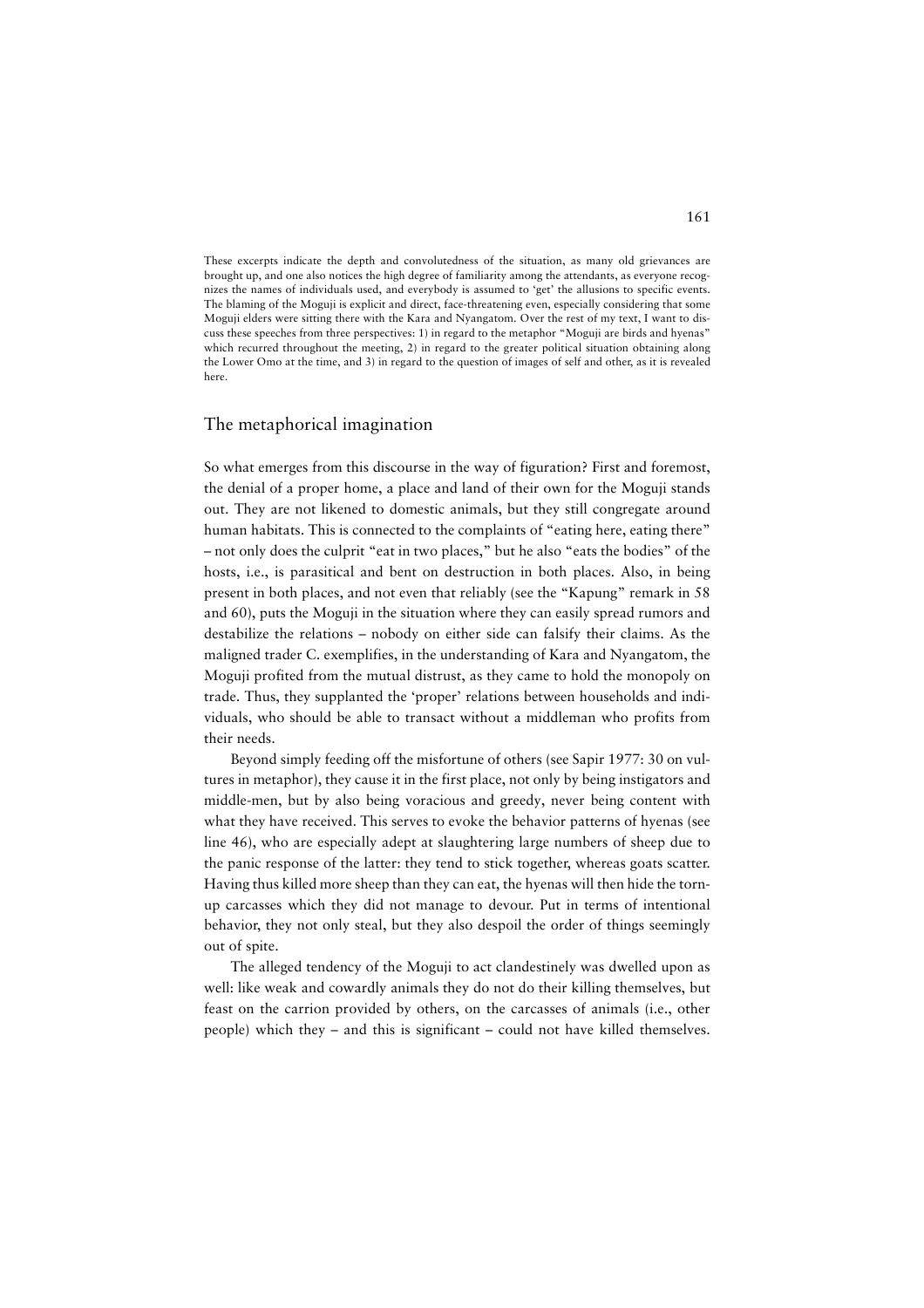These excerpts indicate the depth and convolutedness of the situation, as many old grievances are brought up, and one also notices the high degree of familiarity among the attendants, as everyone recognizes the names of individuals used, and everybody is assumed to 'get' the allusions to specific events. The blaming of the Moguji is explicit and direct, face-threatening even, especially considering that some Moguji elders were sitting there with the Kara and Nyangatom. Over the rest of my text, I want to discuss these speeches from three perspectives: 1) in regard to the metaphor "Moguji are birds and hyenas" which recurred throughout the meeting, 2) in regard to the greater political situation obtaining along the Lower Omo at the time, and 3) in regard to the question of images of self and other, as it is revealed here.

### The metaphorical imagination

So what emerges from this discourse in the way of figuration? First and foremost, the denial of a proper home, a place and land of their own for the Moguji stands out. They are not likened to domestic animals, but they still congregate around human habitats. This is connected to the complaints of "eating here, eating there" – not only does the culprit "eat in two places," but he also "eats the bodies" of the hosts, i.e., is parasitical and bent on destruction in both places. Also, in being present in both places, and not even that reliably (see the "Kapung" remark in 58 and 60), puts the Moguji in the situation where they can easily spread rumors and destabilize the relations – nobody on either side can falsify their claims. As the maligned trader C. exemplifies, in the understanding of Kara and Nyangatom, the Moguji profited from the mutual distrust, as they came to hold the monopoly on trade. Thus, they supplanted the 'proper' relations between households and individuals, who should be able to transact without a middleman who profits from their needs.

Beyond simply feeding off the misfortune of others (see Sapir 1977: 30 on vultures in metaphor), they cause it in the first place, not only by being instigators and middle-men, but by also being voracious and greedy, never being content with what they have received. This serves to evoke the behavior patterns of hyenas (see line 46), who are especially adept at slaughtering large numbers of sheep due to the panic response of the latter: they tend to stick together, whereas goats scatter. Having thus killed more sheep than they can eat, the hyenas will then hide the tornup carcasses which they did not manage to devour. Put in terms of intentional behavior, they not only steal, but they also despoil the order of things seemingly out of spite.

The alleged tendency of the Moguji to act clandestinely was dwelled upon as well: like weak and cowardly animals they do not do their killing themselves, but feast on the carrion provided by others, on the carcasses of animals (i.e., other people) which they – and this is significant – could not have killed themselves.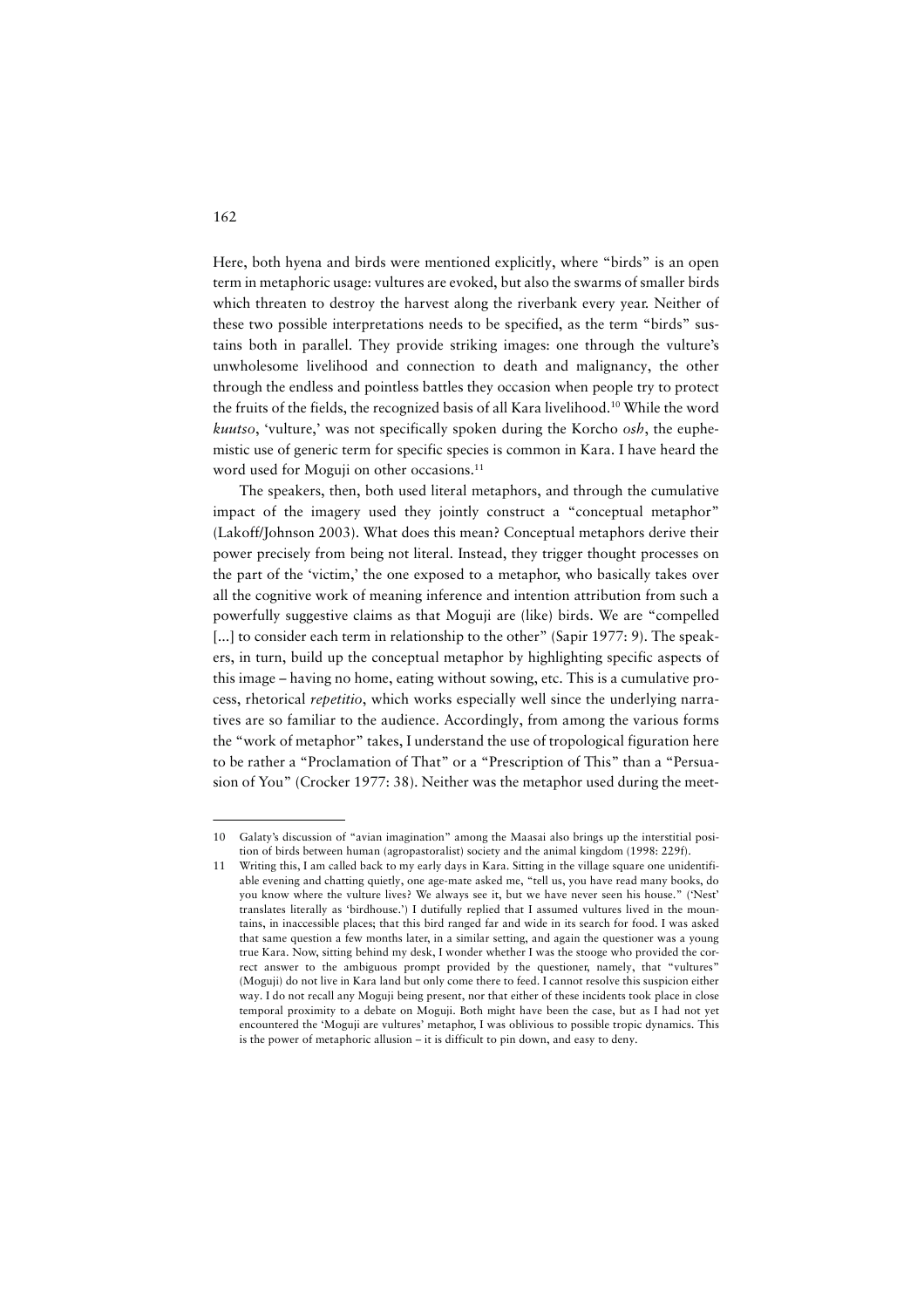Here, both hyena and birds were mentioned explicitly, where "birds" is an open term in metaphoric usage: vultures are evoked, but also the swarms of smaller birds which threaten to destroy the harvest along the riverbank every year. Neither of these two possible interpretations needs to be specified, as the term "birds" sustains both in parallel. They provide striking images: one through the vulture's unwholesome livelihood and connection to death and malignancy, the other through the endless and pointless battles they occasion when people try to protect the fruits of the fields, the recognized basis of all Kara livelihood.10 While the word *kuutso*, 'vulture,' was not specifically spoken during the Korcho *osh*, the euphemistic use of generic term for specific species is common in Kara. I have heard the word used for Moguji on other occasions.<sup>11</sup>

The speakers, then, both used literal metaphors, and through the cumulative impact of the imagery used they jointly construct a "conceptual metaphor" (Lakoff/Johnson 2003). What does this mean? Conceptual metaphors derive their power precisely from being not literal. Instead, they trigger thought processes on the part of the 'victim,' the one exposed to a metaphor, who basically takes over all the cognitive work of meaning inference and intention attribution from such a powerfully suggestive claims as that Moguji are (like) birds. We are "compelled [...] to consider each term in relationship to the other" (Sapir 1977: 9). The speakers, in turn, build up the conceptual metaphor by highlighting specific aspects of this image – having no home, eating without sowing, etc. This is a cumulative process, rhetorical *repetitio*, which works especially well since the underlying narratives are so familiar to the audience. Accordingly, from among the various forms the "work of metaphor" takes, I understand the use of tropological figuration here to be rather a "Proclamation of That" or a "Prescription of This" than a "Persuasion of You" (Crocker 1977: 38). Neither was the metaphor used during the meet-

<sup>10</sup> Galaty's discussion of "avian imagination" among the Maasai also brings up the interstitial position of birds between human (agropastoralist) society and the animal kingdom (1998: 229f).

<sup>11</sup> Writing this, I am called back to my early days in Kara. Sitting in the village square one unidentifiable evening and chatting quietly, one age-mate asked me, "tell us, you have read many books, do you know where the vulture lives? We always see it, but we have never seen his house." ('Nest' translates literally as 'birdhouse.') I dutifully replied that I assumed vultures lived in the mountains, in inaccessible places; that this bird ranged far and wide in its search for food. I was asked that same question a few months later, in a similar setting, and again the questioner was a young true Kara. Now, sitting behind my desk, I wonder whether I was the stooge who provided the correct answer to the ambiguous prompt provided by the questioner, namely, that "vultures" (Moguji) do not live in Kara land but only come there to feed. I cannot resolve this suspicion either way. I do not recall any Moguji being present, nor that either of these incidents took place in close temporal proximity to a debate on Moguji. Both might have been the case, but as I had not yet encountered the 'Moguji are vultures' metaphor, I was oblivious to possible tropic dynamics. This is the power of metaphoric allusion – it is difficult to pin down, and easy to deny.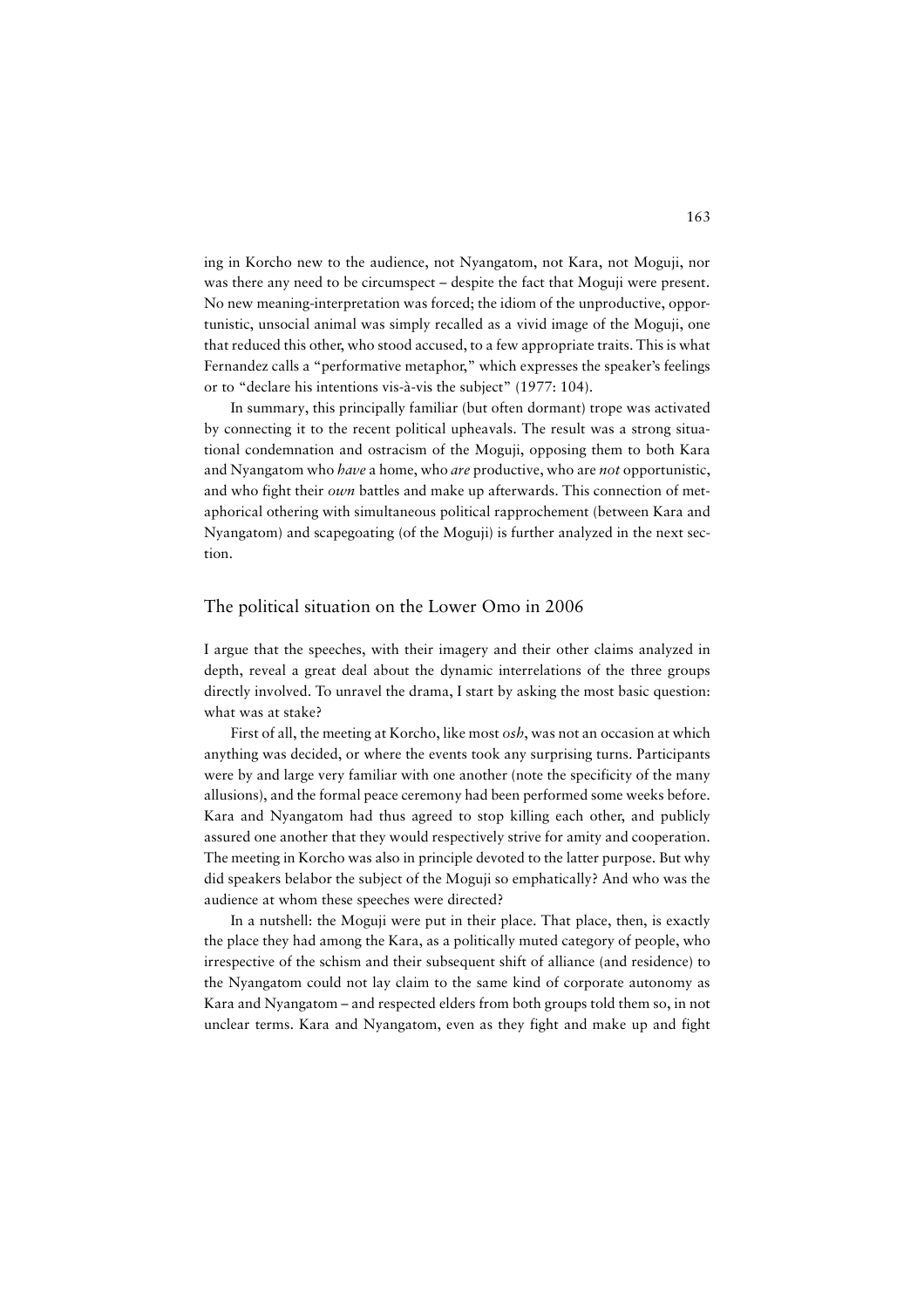ing in Korcho new to the audience, not Nyangatom, not Kara, not Moguji, nor was there any need to be circumspect – despite the fact that Moguji were present. No new meaning-interpretation was forced; the idiom of the unproductive, opportunistic, unsocial animal was simply recalled as a vivid image of the Moguji, one that reduced this other, who stood accused, to a few appropriate traits. This is what Fernandez calls a "performative metaphor," which expresses the speaker's feelings or to "declare his intentions vis-à-vis the subject" (1977: 104).

In summary, this principally familiar (but often dormant) trope was activated by connecting it to the recent political upheavals. The result was a strong situational condemnation and ostracism of the Moguji, opposing them to both Kara and Nyangatom who *have* a home, who *are* productive, who are *not* opportunistic, and who fight their *own* battles and make up afterwards. This connection of metaphorical othering with simultaneous political rapprochement (between Kara and Nyangatom) and scapegoating (of the Moguji) is further analyzed in the next section.

## The political situation on the Lower Omo in 2006

I argue that the speeches, with their imagery and their other claims analyzed in depth, reveal a great deal about the dynamic interrelations of the three groups directly involved. To unravel the drama, I start by asking the most basic question: what was at stake?

First of all, the meeting at Korcho, like most *osh*, was not an occasion at which anything was decided, or where the events took any surprising turns. Participants were by and large very familiar with one another (note the specificity of the many allusions), and the formal peace ceremony had been performed some weeks before. Kara and Nyangatom had thus agreed to stop killing each other, and publicly assured one another that they would respectively strive for amity and cooperation. The meeting in Korcho was also in principle devoted to the latter purpose. But why did speakers belabor the subject of the Moguji so emphatically? And who was the audience at whom these speeches were directed?

In a nutshell: the Moguji were put in their place. That place, then, is exactly the place they had among the Kara, as a politically muted category of people, who irrespective of the schism and their subsequent shift of alliance (and residence) to the Nyangatom could not lay claim to the same kind of corporate autonomy as Kara and Nyangatom – and respected elders from both groups told them so, in not unclear terms. Kara and Nyangatom, even as they fight and make up and fight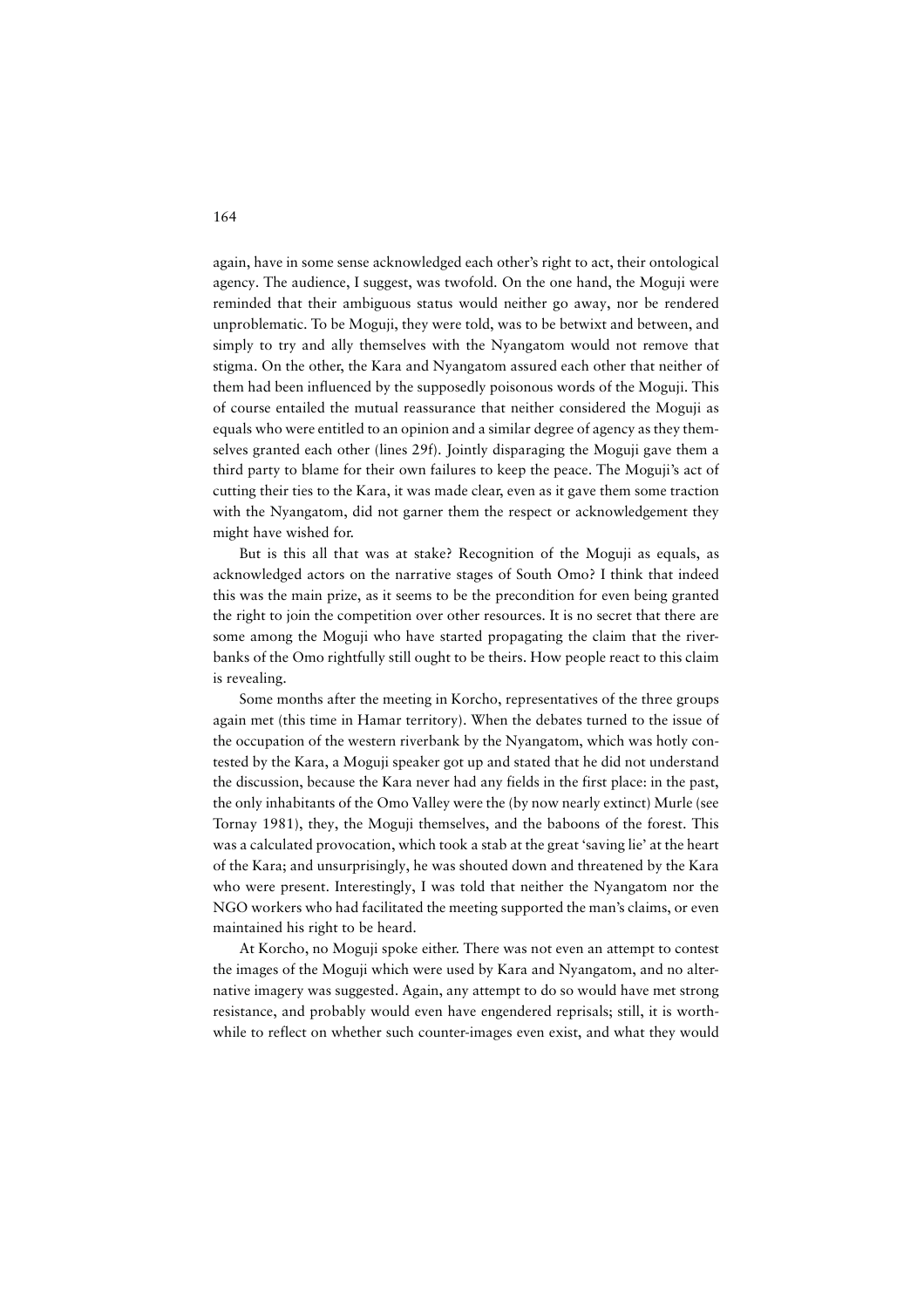again, have in some sense acknowledged each other's right to act, their ontological agency. The audience, I suggest, was twofold. On the one hand, the Moguji were reminded that their ambiguous status would neither go away, nor be rendered unproblematic. To be Moguji, they were told, was to be betwixt and between, and simply to try and ally themselves with the Nyangatom would not remove that stigma. On the other, the Kara and Nyangatom assured each other that neither of them had been influenced by the supposedly poisonous words of the Moguji. This of course entailed the mutual reassurance that neither considered the Moguji as equals who were entitled to an opinion and a similar degree of agency as they themselves granted each other (lines 29f). Jointly disparaging the Moguji gave them a third party to blame for their own failures to keep the peace. The Moguji's act of cutting their ties to the Kara, it was made clear, even as it gave them some traction with the Nyangatom, did not garner them the respect or acknowledgement they might have wished for.

But is this all that was at stake? Recognition of the Moguji as equals, as acknowledged actors on the narrative stages of South Omo? I think that indeed this was the main prize, as it seems to be the precondition for even being granted the right to join the competition over other resources. It is no secret that there are some among the Moguji who have started propagating the claim that the riverbanks of the Omo rightfully still ought to be theirs. How people react to this claim is revealing.

Some months after the meeting in Korcho, representatives of the three groups again met (this time in Hamar territory). When the debates turned to the issue of the occupation of the western riverbank by the Nyangatom, which was hotly contested by the Kara, a Moguji speaker got up and stated that he did not understand the discussion, because the Kara never had any fields in the first place: in the past, the only inhabitants of the Omo Valley were the (by now nearly extinct) Murle (see Tornay 1981), they, the Moguji themselves, and the baboons of the forest. This was a calculated provocation, which took a stab at the great 'saving lie' at the heart of the Kara; and unsurprisingly, he was shouted down and threatened by the Kara who were present. Interestingly, I was told that neither the Nyangatom nor the NGO workers who had facilitated the meeting supported the man's claims, or even maintained his right to be heard.

At Korcho, no Moguji spoke either. There was not even an attempt to contest the images of the Moguji which were used by Kara and Nyangatom, and no alternative imagery was suggested. Again, any attempt to do so would have met strong resistance, and probably would even have engendered reprisals; still, it is worthwhile to reflect on whether such counter-images even exist, and what they would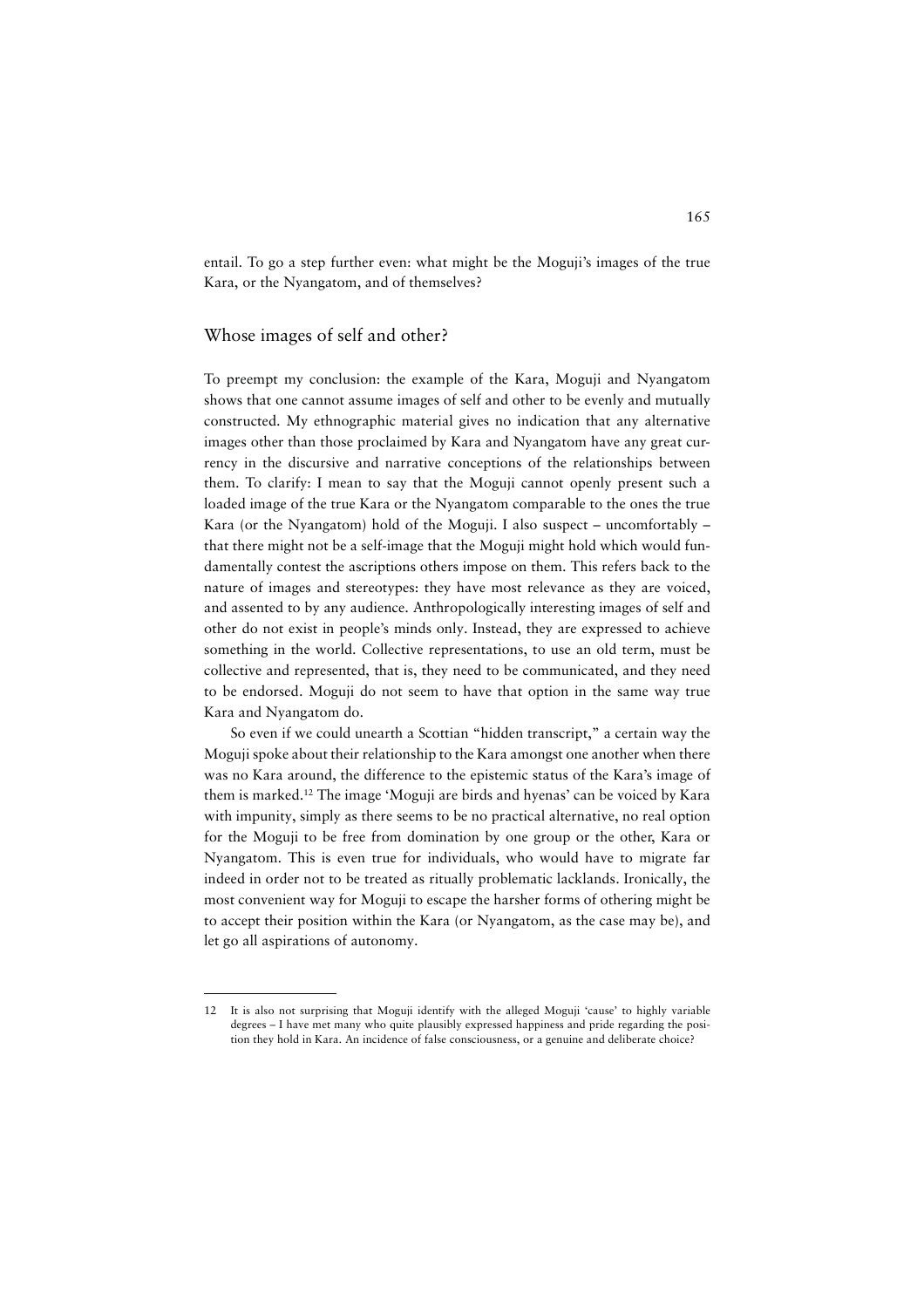entail. To go a step further even: what might be the Moguji's images of the true Kara, or the Nyangatom, and of themselves?

# Whose images of self and other?

To preempt my conclusion: the example of the Kara, Moguji and Nyangatom shows that one cannot assume images of self and other to be evenly and mutually constructed. My ethnographic material gives no indication that any alternative images other than those proclaimed by Kara and Nyangatom have any great currency in the discursive and narrative conceptions of the relationships between them. To clarify: I mean to say that the Moguji cannot openly present such a loaded image of the true Kara or the Nyangatom comparable to the ones the true Kara (or the Nyangatom) hold of the Moguji. I also suspect – uncomfortably – that there might not be a self-image that the Moguji might hold which would fundamentally contest the ascriptions others impose on them. This refers back to the nature of images and stereotypes: they have most relevance as they are voiced, and assented to by any audience. Anthropologically interesting images of self and other do not exist in people's minds only. Instead, they are expressed to achieve something in the world. Collective representations, to use an old term, must be collective and represented, that is, they need to be communicated, and they need to be endorsed. Moguji do not seem to have that option in the same way true Kara and Nyangatom do.

So even if we could unearth a Scottian "hidden transcript," a certain way the Moguji spoke about their relationship to the Kara amongst one another when there was no Kara around, the difference to the epistemic status of the Kara's image of them is marked.12 The image 'Moguji are birds and hyenas' can be voiced by Kara with impunity, simply as there seems to be no practical alternative, no real option for the Moguji to be free from domination by one group or the other, Kara or Nyangatom. This is even true for individuals, who would have to migrate far indeed in order not to be treated as ritually problematic lacklands. Ironically, the most convenient way for Moguji to escape the harsher forms of othering might be to accept their position within the Kara (or Nyangatom, as the case may be), and let go all aspirations of autonomy.

<sup>12</sup> It is also not surprising that Moguji identify with the alleged Moguji 'cause' to highly variable degrees – I have met many who quite plausibly expressed happiness and pride regarding the position they hold in Kara. An incidence of false consciousness, or a genuine and deliberate choice?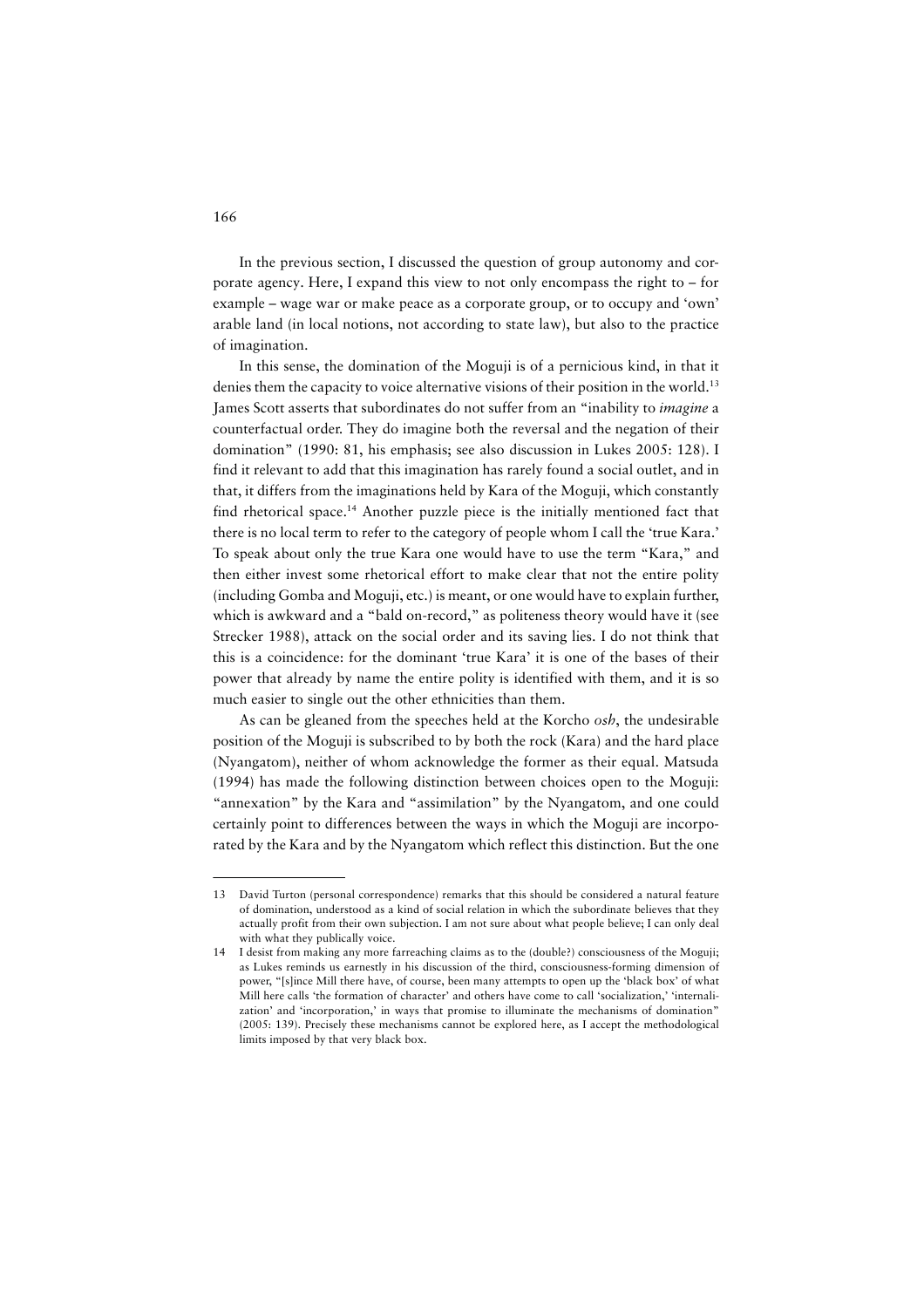In the previous section, I discussed the question of group autonomy and corporate agency. Here, I expand this view to not only encompass the right to – for example – wage war or make peace as a corporate group, or to occupy and 'own' arable land (in local notions, not according to state law), but also to the practice of imagination.

In this sense, the domination of the Moguji is of a pernicious kind, in that it denies them the capacity to voice alternative visions of their position in the world.<sup>13</sup> James Scott asserts that subordinates do not suffer from an "inability to *imagine* a counterfactual order. They do imagine both the reversal and the negation of their domination" (1990: 81, his emphasis; see also discussion in Lukes 2005: 128). I find it relevant to add that this imagination has rarely found a social outlet, and in that, it differs from the imaginations held by Kara of the Moguji, which constantly find rhetorical space.14 Another puzzle piece is the initially mentioned fact that there is no local term to refer to the category of people whom I call the 'true Kara.' To speak about only the true Kara one would have to use the term "Kara," and then either invest some rhetorical effort to make clear that not the entire polity (including Gomba and Moguji, etc.) is meant, or one would have to explain further, which is awkward and a "bald on-record," as politeness theory would have it (see Strecker 1988), attack on the social order and its saving lies. I do not think that this is a coincidence: for the dominant 'true Kara' it is one of the bases of their power that already by name the entire polity is identified with them, and it is so much easier to single out the other ethnicities than them.

As can be gleaned from the speeches held at the Korcho *osh*, the undesirable position of the Moguji is subscribed to by both the rock (Kara) and the hard place (Nyangatom), neither of whom acknowledge the former as their equal. Matsuda (1994) has made the following distinction between choices open to the Moguji: "annexation" by the Kara and "assimilation" by the Nyangatom, and one could certainly point to differences between the ways in which the Moguji are incorporated by the Kara and by the Nyangatom which reflect this distinction. But the one

<sup>13</sup> David Turton (personal correspondence) remarks that this should be considered a natural feature of domination, understood as a kind of social relation in which the subordinate believes that they actually profit from their own subjection. I am not sure about what people believe; I can only deal with what they publically voice.

<sup>14</sup> I desist from making any more farreaching claims as to the (double?) consciousness of the Moguji; as Lukes reminds us earnestly in his discussion of the third, consciousness-forming dimension of power, "[s]ince Mill there have, of course, been many attempts to open up the 'black box' of what Mill here calls 'the formation of character' and others have come to call 'socialization,' 'internalization' and 'incorporation,' in ways that promise to illuminate the mechanisms of domination" (2005: 139). Precisely these mechanisms cannot be explored here, as I accept the methodological limits imposed by that very black box.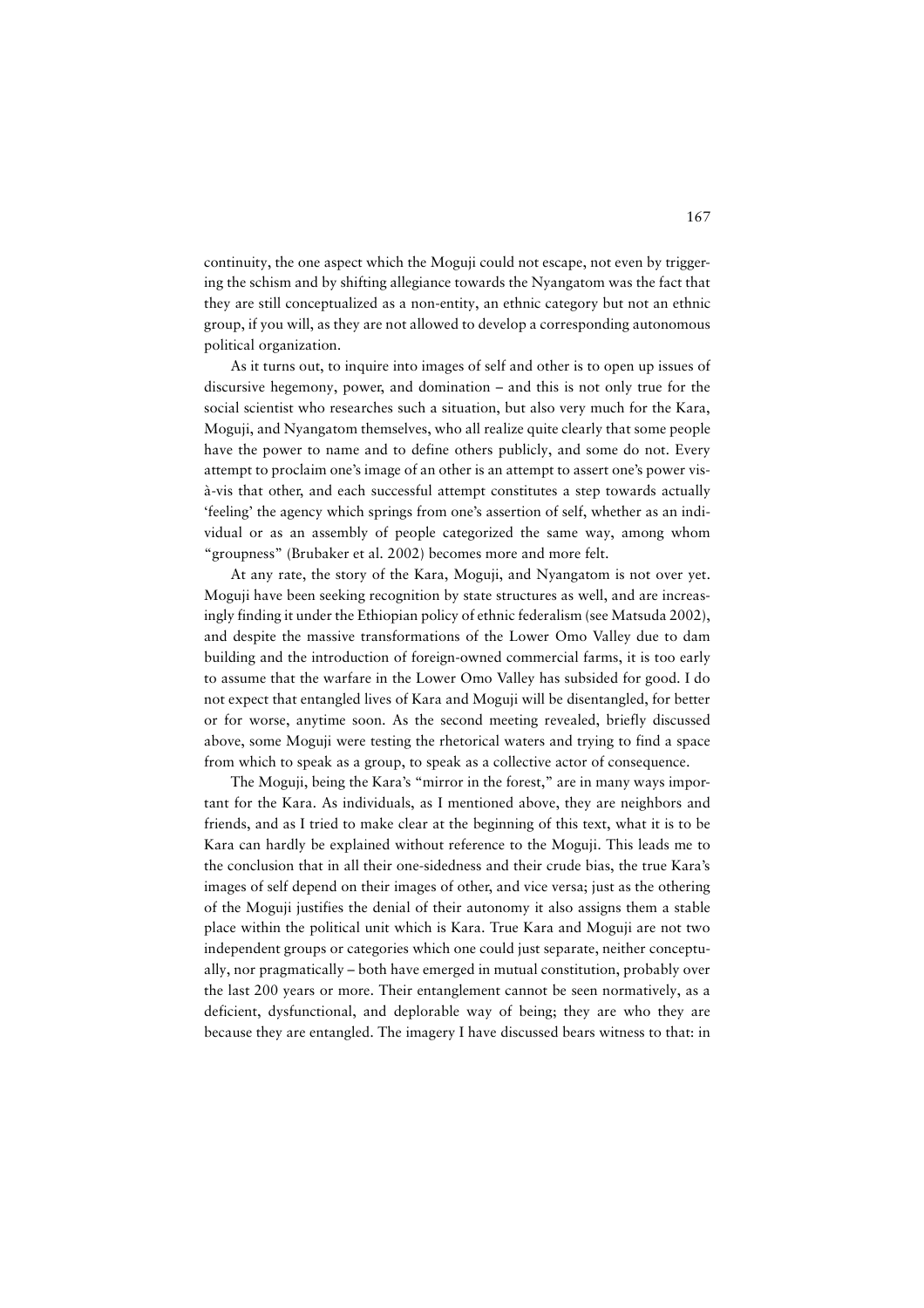continuity, the one aspect which the Moguji could not escape, not even by triggering the schism and by shifting allegiance towards the Nyangatom was the fact that they are still conceptualized as a non-entity, an ethnic category but not an ethnic group, if you will, as they are not allowed to develop a corresponding autonomous political organization.

As it turns out, to inquire into images of self and other is to open up issues of discursive hegemony, power, and domination – and this is not only true for the social scientist who researches such a situation, but also very much for the Kara, Moguji, and Nyangatom themselves, who all realize quite clearly that some people have the power to name and to define others publicly, and some do not. Every attempt to proclaim one's image of an other is an attempt to assert one's power visà-vis that other, and each successful attempt constitutes a step towards actually 'feeling' the agency which springs from one's assertion of self, whether as an individual or as an assembly of people categorized the same way, among whom "groupness" (Brubaker et al. 2002) becomes more and more felt.

At any rate, the story of the Kara, Moguji, and Nyangatom is not over yet. Moguji have been seeking recognition by state structures as well, and are increasingly finding it under the Ethiopian policy of ethnic federalism (see Matsuda 2002), and despite the massive transformations of the Lower Omo Valley due to dam building and the introduction of foreign-owned commercial farms, it is too early to assume that the warfare in the Lower Omo Valley has subsided for good. I do not expect that entangled lives of Kara and Moguji will be disentangled, for better or for worse, anytime soon. As the second meeting revealed, briefly discussed above, some Moguji were testing the rhetorical waters and trying to find a space from which to speak as a group, to speak as a collective actor of consequence.

The Moguji, being the Kara's "mirror in the forest," are in many ways important for the Kara. As individuals, as I mentioned above, they are neighbors and friends, and as I tried to make clear at the beginning of this text, what it is to be Kara can hardly be explained without reference to the Moguji. This leads me to the conclusion that in all their one-sidedness and their crude bias, the true Kara's images of self depend on their images of other, and vice versa; just as the othering of the Moguji justifies the denial of their autonomy it also assigns them a stable place within the political unit which is Kara. True Kara and Moguji are not two independent groups or categories which one could just separate, neither conceptually, nor pragmatically – both have emerged in mutual constitution, probably over the last 200 years or more. Their entanglement cannot be seen normatively, as a deficient, dysfunctional, and deplorable way of being; they are who they are because they are entangled. The imagery I have discussed bears witness to that: in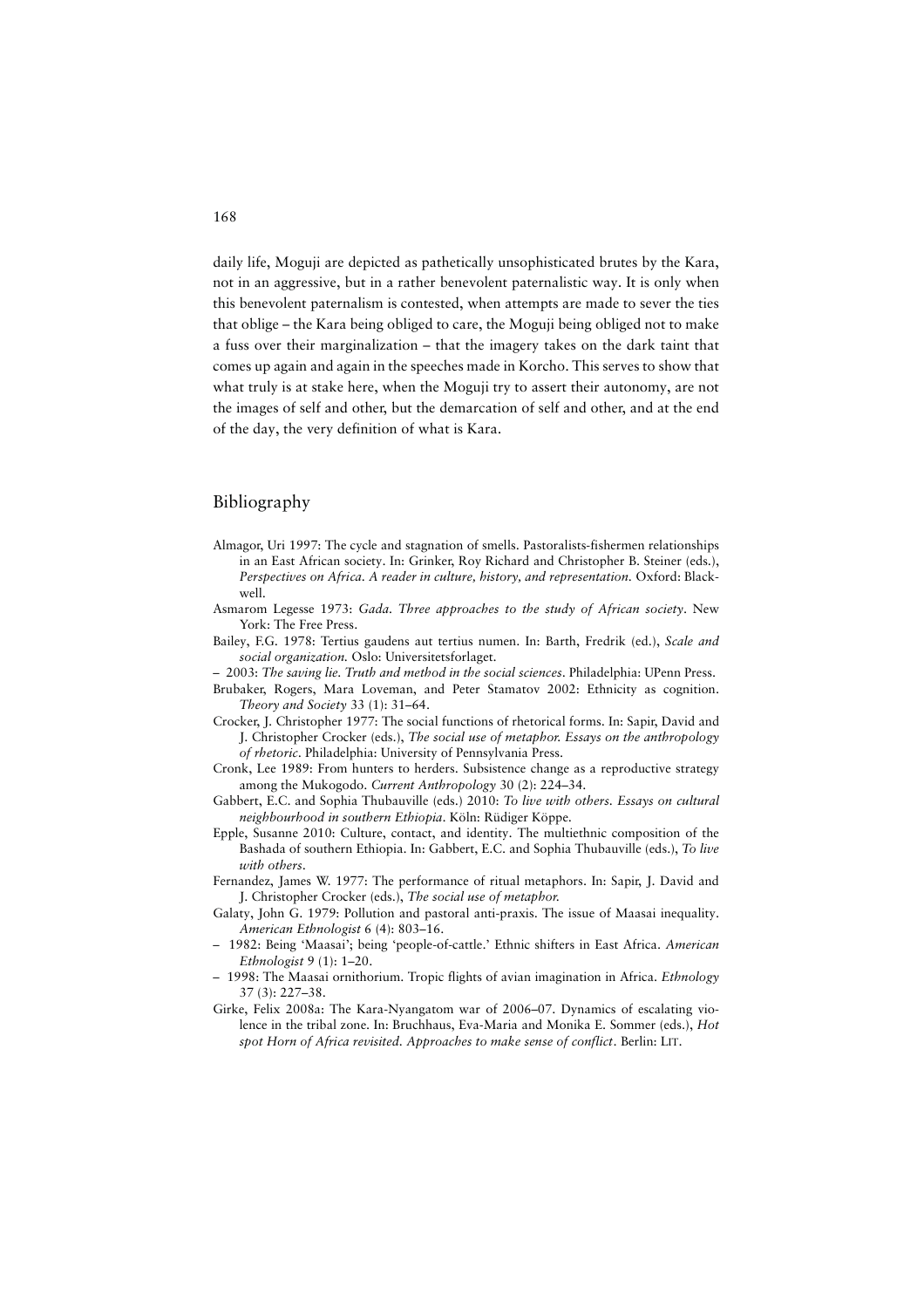daily life, Moguji are depicted as pathetically unsophisticated brutes by the Kara, not in an aggressive, but in a rather benevolent paternalistic way. It is only when this benevolent paternalism is contested, when attempts are made to sever the ties that oblige – the Kara being obliged to care, the Moguji being obliged not to make a fuss over their marginalization – that the imagery takes on the dark taint that comes up again and again in the speeches made in Korcho. This serves to show that what truly is at stake here, when the Moguji try to assert their autonomy, are not the images of self and other, but the demarcation of self and other, and at the end of the day, the very definition of what is Kara.

## Bibliography

- Almagor, Uri 1997: The cycle and stagnation of smells. Pastoralists-fishermen relationships in an East African society. In: Grinker, Roy Richard and Christopher B. Steiner (eds.), *Perspectives on Africa. A reader in culture, history, and representation.* Oxford: Blackwell.
- Asmarom Legesse 1973: *Gada. Three approaches to the study of African society*. New York: The Free Press.
- Bailey, F.G. 1978: Tertius gaudens aut tertius numen. In: Barth, Fredrik (ed.), *Scale and social organization.* Oslo: Universitetsforlaget.
- 2003: *The saving lie. Truth and method in the social sciences*. Philadelphia: UPenn Press.
- Brubaker, Rogers, Mara Loveman, and Peter Stamatov 2002: Ethnicity as cognition. *Theory and Society* 33 (1): 31–64.
- Crocker, J. Christopher 1977: The social functions of rhetorical forms. In: Sapir, David and J. Christopher Crocker (eds.), *The social use of metaphor. Essays on the anthropology of rhetoric*. Philadelphia: University of Pennsylvania Press.
- Cronk, Lee 1989: From hunters to herders. Subsistence change as a reproductive strategy among the Mukogodo. *Current Anthropology* 30 (2): 224–34.
- Gabbert, E.C. and Sophia Thubauville (eds.) 2010: *To live with others. Essays on cultural neighbourhood in southern Ethiopia*. Köln: Rüdiger Köppe.
- Epple, Susanne 2010: Culture, contact, and identity. The multiethnic composition of the Bashada of southern Ethiopia. In: Gabbert, E.C. and Sophia Thubauville (eds.), *To live with others*.
- Fernandez, James W. 1977: The performance of ritual metaphors. In: Sapir, J. David and J. Christopher Crocker (eds.), *The social use of metaphor.*
- Galaty, John G. 1979: Pollution and pastoral anti-praxis. The issue of Maasai inequality. *American Ethnologist* 6 (4): 803–16.
- 1982: Being 'Maasai'; being 'people-of-cattle.' Ethnic shifters in East Africa. *American Ethnologist* 9 (1): 1–20.
- 1998: The Maasai ornithorium. Tropic flights of avian imagination in Africa. *Ethnology* 37 (3): 227–38.
- Girke, Felix 2008a: The Kara-Nyangatom war of 2006–07. Dynamics of escalating violence in the tribal zone. In: Bruchhaus, Eva-Maria and Monika E. Sommer (eds.), *Hot spot Horn of Africa revisited. Approaches to make sense of conflict*. Berlin: LIT.